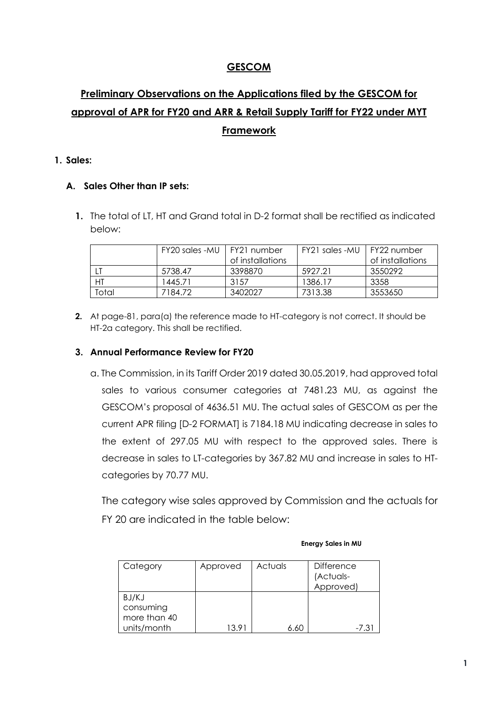## **GESCOM**

# **Preliminary Observations on the Applications filed by the GESCOM for approval of APR for FY20 and ARR & Retail Supply Tariff for FY22 under MYT Framework**

#### **1. Sales:**

### **A. Sales Other than IP sets:**

**1.** The total of LT, HT and Grand total in D-2 format shall be rectified as indicated below:

|       | FY20 sales -MU | l FY21 number<br>of installations | FY21 sales -MU | I FY22 number<br>of installations |
|-------|----------------|-----------------------------------|----------------|-----------------------------------|
|       | 5738.47        | 3398870                           | 5927.21        | 3550292                           |
| HT    | 1445.71        | 3157                              | 1386.17        | 3358                              |
| Total | 7184.72        | 3402027                           | 7313.38        | 3553650                           |

**2.** At page-81, para(a) the reference made to HT-category is not correct. It should be HT-2a category. This shall be rectified.

#### **3. Annual Performance Review for FY20**

a. The Commission, in its Tariff Order 2019 dated 30.05.2019, had approved total sales to various consumer categories at 7481.23 MU, as against the GESCOM's proposal of 4636.51 MU. The actual sales of GESCOM as per the current APR filing [D-2 FORMAT] is 7184.18 MU indicating decrease in sales to the extent of 297.05 MU with respect to the approved sales. There is decrease in sales to LT-categories by 367.82 MU and increase in sales to HTcategories by 70.77 MU.

The category wise sales approved by Commission and the actuals for FY 20 are indicated in the table below:

| Category                           | Approved | Actuals | <b>Difference</b><br>(Actuals-<br>Approved) |
|------------------------------------|----------|---------|---------------------------------------------|
| BJ/KJ<br>consuming<br>more than 40 |          |         |                                             |
| units/month                        | 13.91    |         | $-7.3$                                      |

#### **Energy Sales in MU**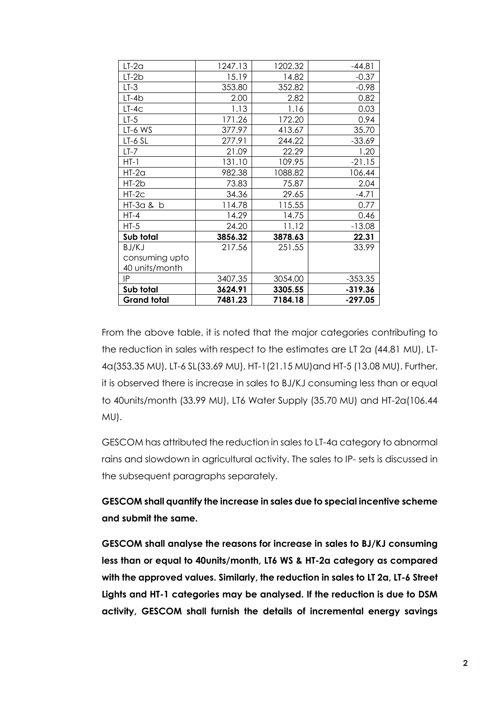| $LT-2a$            | 1247.13 | 1202.32 | $-44.81$  |
|--------------------|---------|---------|-----------|
| LT-2b              | 15.19   | 14.82   | $-0.37$   |
| LT-3               | 353.80  | 352.82  | $-0.98$   |
| $LT-4b$            | 2.00    | 2.82    | 0.82      |
| $LT-4C$            | 1.13    | 1.16    | 0.03      |
| $LT-5$             | 171.26  | 172.20  | 0.94      |
| LT-6 WS            | 377.97  | 413.67  | 35.70     |
| LT-6 SL            | 277.91  | 244.22  | $-33.69$  |
| $LT-7$             | 21.09   | 22.29   | 1.20      |
| $HT-1$             | 131.10  | 109.95  | $-21.15$  |
| HT-2a              | 982.38  | 1088.82 | 106.44    |
| $HT-2b$            | 73.83   | 75.87   | 2.04      |
| HT-2c              | 34.36   | 29.65   | $-4.71$   |
| HT-3a & b          | 114.78  | 115.55  | 0.77      |
| HT-4               | 14.29   | 14.75   | 0.46      |
| $HT-5$             | 24.20   | 11.12   | $-13.08$  |
| Sub total          | 3856.32 | 3878.63 | 22.31     |
| BJ/KJ              | 217.56  | 251.55  | 33.99     |
| consuming upto     |         |         |           |
| 40 units/month     |         |         |           |
| ΙP                 | 3407.35 | 3054.00 | $-353.35$ |
| Sub total          | 3624.91 | 3305.55 | $-319.36$ |
| <b>Grand total</b> | 7481.23 | 7184.18 | $-297.05$ |

From the above table, it is noted that the major categories contributing to the reduction in sales with respect to the estimates are LT 2a (44.81 MU), LT-4a(353.35 MU), LT-6 SL(33.69 MU), HT-1(21.15 MU)and HT-5 (13.08 MU). Further, it is observed there is increase in sales to BJ/KJ consuming less than or equal to 40units/month (33.99 MU), LT6 Water Supply (35.70 MU) and HT-2a(106.44 MU).

GESCOM has attributed the reduction in sales to LT-4a category to abnormal rains and slowdown in agricultural activity. The sales to IP- sets is discussed in the subsequent paragraphs separately.

# **GESCOM shall quantify the increase in sales due to special incentive scheme and submit the same.**

**GESCOM shall analyse the reasons for increase in sales to BJ/KJ consuming less than or equal to 40units/month, LT6 WS & HT-2a category as compared with the approved values. Similarly, the reduction in sales to LT 2a, LT-6 Street Lights and HT-1 categories may be analysed. If the reduction is due to DSM activity, GESCOM shall furnish the details of incremental energy savings**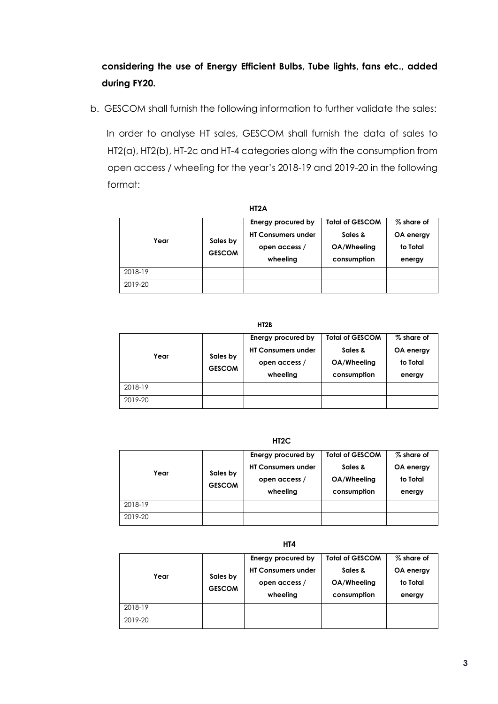# **considering the use of Energy Efficient Bulbs, Tube lights, fans etc., added during FY20.**

b. GESCOM shall furnish the following information to further validate the sales:

 In order to analyse HT sales, GESCOM shall furnish the data of sales to HT2(a), HT2(b), HT-2c and HT-4 categories along with the consumption from open access / wheeling for the year's 2018-19 and 2019-20 in the following format:

| Year    | Sales by<br><b>GESCOM</b> | Energy procured by<br><b>HT Consumers under</b><br>open access /<br>wheeling | <b>Total of GESCOM</b><br>Sales &<br>OA/Wheeling<br>consumption | % share of<br>OA energy<br>to Total<br>energy |
|---------|---------------------------|------------------------------------------------------------------------------|-----------------------------------------------------------------|-----------------------------------------------|
| 2018-19 |                           |                                                                              |                                                                 |                                               |
| 2019-20 |                           |                                                                              |                                                                 |                                               |

 **HT2B**

| Year    | Sales by<br><b>GESCOM</b> | Energy procured by<br><b>HT Consumers under</b><br>open access /<br>wheeling | <b>Total of GESCOM</b><br>Sales &<br>OA/Wheeling<br>consumption | % share of<br>OA energy<br>to Total<br>energy |
|---------|---------------------------|------------------------------------------------------------------------------|-----------------------------------------------------------------|-----------------------------------------------|
| 2018-19 |                           |                                                                              |                                                                 |                                               |
| 2019-20 |                           |                                                                              |                                                                 |                                               |

 **HT2C**

| Year    | Sales by<br><b>GESCOM</b> | Energy procured by<br><b>HT Consumers under</b><br>open access /<br>wheeling | <b>Total of GESCOM</b><br>Sales &<br>OA/Wheeling<br>consumption | % share of<br>OA energy<br>to Total<br>energy |
|---------|---------------------------|------------------------------------------------------------------------------|-----------------------------------------------------------------|-----------------------------------------------|
| 2018-19 |                           |                                                                              |                                                                 |                                               |
| 2019-20 |                           |                                                                              |                                                                 |                                               |

 **HT4**

| Year    | Sales by<br><b>GESCOM</b> | Energy procured by<br><b>HT Consumers under</b><br>open access /<br>wheeling | <b>Total of GESCOM</b><br>Sales &<br>OA/Wheeling<br>consumption | % share of<br>OA energy<br>to Total<br>energy |
|---------|---------------------------|------------------------------------------------------------------------------|-----------------------------------------------------------------|-----------------------------------------------|
| 2018-19 |                           |                                                                              |                                                                 |                                               |
| 2019-20 |                           |                                                                              |                                                                 |                                               |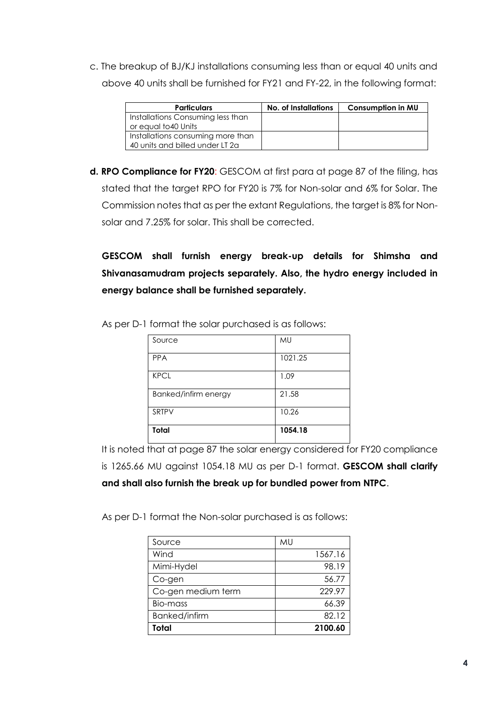c. The breakup of BJ/KJ installations consuming less than or equal 40 units and above 40 units shall be furnished for FY21 and FY-22, in the following format:

| <b>Particulars</b>                | No. of Installations | <b>Consumption in MU</b> |
|-----------------------------------|----------------------|--------------------------|
| Installations Consuming less than |                      |                          |
| or equal to 40 Units              |                      |                          |
| Installations consuming more than |                      |                          |
| 40 units and billed under LT 2a   |                      |                          |

**d. RPO Compliance for FY20**: GESCOM at first para at page 87 of the filing, has stated that the target RPO for FY20 is 7% for Non-solar and 6% for Solar. The Commission notes that as per the extant Regulations, the target is 8% for Nonsolar and 7.25% for solar. This shall be corrected.

**GESCOM shall furnish energy break-up details for Shimsha and Shivanasamudram projects separately. Also, the hydro energy included in energy balance shall be furnished separately.**

| Source               | MU      |
|----------------------|---------|
| <b>PPA</b>           | 1021.25 |
| <b>KPCL</b>          | 1.09    |
| Banked/infirm energy | 21.58   |
| SRTPV                | 10.26   |
| Total                | 1054.18 |

As per D-1 format the solar purchased is as follows:

It is noted that at page 87 the solar energy considered for FY20 compliance is 1265.66 MU against 1054.18 MU as per D-1 format. **GESCOM shall clarify and shall also furnish the break up for bundled power from NTPC**.

As per D-1 format the Non-solar purchased is as follows:

| Source             | МU      |
|--------------------|---------|
| Wind               | 1567.16 |
| Mimi-Hydel         | 98.19   |
| Co-gen             | 56.77   |
| Co-gen medium term | 229.97  |
| Bio-mass           | 66.39   |
| Banked/infirm      | 82.12   |
| Total              | 2100.60 |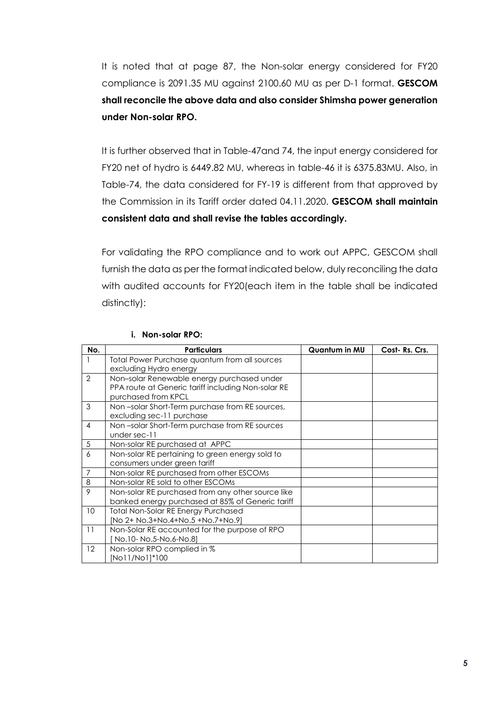It is noted that at page 87, the Non-solar energy considered for FY20 compliance is 2091.35 MU against 2100.60 MU as per D-1 format. **GESCOM shall reconcile the above data and also consider Shimsha power generation under Non-solar RPO.**

It is further observed that in Table-47and 74, the input energy considered for FY20 net of hydro is 6449.82 MU, whereas in table-46 it is 6375.83MU. Also, in Table-74, the data considered for FY-19 is different from that approved by the Commission in its Tariff order dated 04.11.2020. **GESCOM shall maintain consistent data and shall revise the tables accordingly.**

For validating the RPO compliance and to work out APPC, GESCOM shall furnish the data as per the format indicated below, duly reconciling the data with audited accounts for FY20(each item in the table shall be indicated distinctly):

| No.             | <b>Particulars</b>                                 | Quantum in MU | Cost-Rs. Crs. |
|-----------------|----------------------------------------------------|---------------|---------------|
|                 | Total Power Purchase quantum from all sources      |               |               |
|                 | excluding Hydro energy                             |               |               |
| $\mathcal{P}$   | Non-solar Renewable energy purchased under         |               |               |
|                 | PPA route at Generic tariff including Non-solar RE |               |               |
|                 | purchased from KPCL                                |               |               |
| 3               | Non-solar Short-Term purchase from RE sources,     |               |               |
|                 | excluding sec-11 purchase                          |               |               |
| 4               | Non-solar Short-Term purchase from RE sources      |               |               |
|                 | under sec-11                                       |               |               |
| 5               | Non-solar RE purchased at APPC                     |               |               |
| 6               | Non-solar RE pertaining to green energy sold to    |               |               |
|                 | consumers under green tariff                       |               |               |
| $\overline{7}$  | Non-solar RE purchased from other ESCOMs           |               |               |
| 8               | Non-solar RE sold to other ESCOMs                  |               |               |
| 9               | Non-solar RE purchased from any other source like  |               |               |
|                 | banked energy purchased at 85% of Generic tariff   |               |               |
| 10 <sup>°</sup> | Total Non-Solar RE Energy Purchased                |               |               |
|                 | [No 2+ No.3+No.4+No.5 +No.7+No.9]                  |               |               |
| 11              | Non-Solar RE accounted for the purpose of RPO      |               |               |
|                 | No.10- No.5-No.6-No.8]                             |               |               |
| 12              | Non-solar RPO complied in %                        |               |               |
|                 | [No11/No1]*100                                     |               |               |

#### **i. Non-solar RPO:**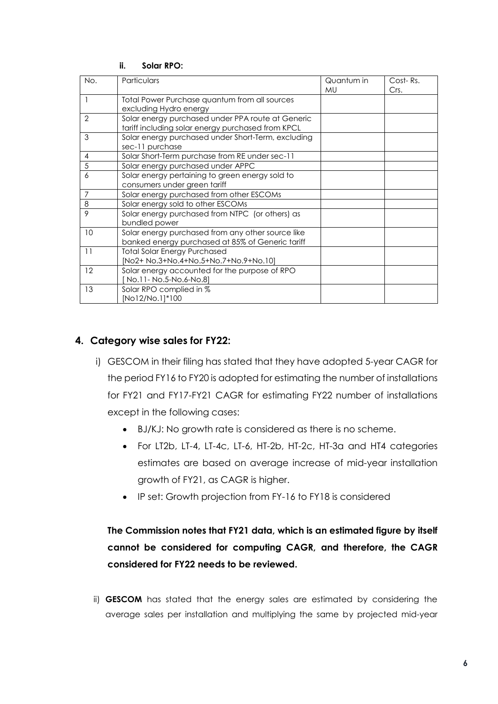| No.            | Particulars                                                                                            | Quantum in<br>MU | Cost-Rs.<br>Crs. |
|----------------|--------------------------------------------------------------------------------------------------------|------------------|------------------|
|                | Total Power Purchase quantum from all sources<br>excluding Hydro energy                                |                  |                  |
| $\mathcal{P}$  | Solar energy purchased under PPA route at Generic<br>tariff including solar energy purchased from KPCL |                  |                  |
| 3              | Solar energy purchased under Short-Term, excluding<br>sec-11 purchase                                  |                  |                  |
| 4              | Solar Short-Term purchase from RE under sec-11                                                         |                  |                  |
| 5              | Solar energy purchased under APPC                                                                      |                  |                  |
| 6              | Solar energy pertaining to green energy sold to<br>consumers under green tariff                        |                  |                  |
| $\overline{7}$ | Solar energy purchased from other ESCOMs                                                               |                  |                  |
| 8              | Solar energy sold to other ESCOMs                                                                      |                  |                  |
| 9              | Solar energy purchased from NTPC (or others) as<br>bundled power                                       |                  |                  |
| 10             | Solar energy purchased from any other source like<br>banked energy purchased at 85% of Generic tariff  |                  |                  |
| 11             | <b>Total Solar Energy Purchased</b><br>[No2+ No.3+No.4+No.5+No.7+No.9+No.10]                           |                  |                  |
| 12             | Solar energy accounted for the purpose of RPO<br>No.11- No.5-No.6-No.8]                                |                  |                  |
| 13             | Solar RPO complied in %<br>[No12/No.1]*100                                                             |                  |                  |

#### **ii. Solar RPO:**

### **4. Category wise sales for FY22:**

- i) GESCOM in their filing has stated that they have adopted 5-year CAGR for the period FY16 to FY20 is adopted for estimating the number of installations for FY21 and FY17-FY21 CAGR for estimating FY22 number of installations except in the following cases:
	- BJ/KJ: No growth rate is considered as there is no scheme.
	- For LT2b, LT-4, LT-4c, LT-6, HT-2b, HT-2c, HT-3a and HT4 categories estimates are based on average increase of mid-year installation growth of FY21, as CAGR is higher.
	- IP set: Growth projection from FY-16 to FY18 is considered

# **The Commission notes that FY21 data, which is an estimated figure by itself cannot be considered for computing CAGR, and therefore, the CAGR considered for FY22 needs to be reviewed.**

ii) **GESCOM** has stated that the energy sales are estimated by considering the average sales per installation and multiplying the same by projected mid-year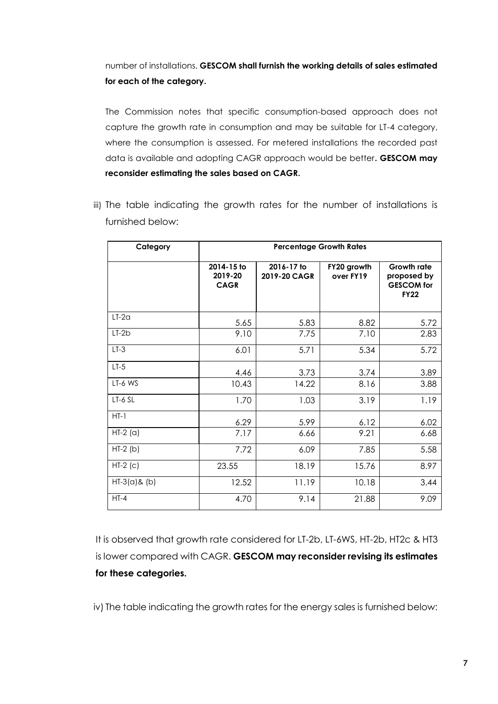# number of installations. **GESCOM shall furnish the working details of sales estimated for each of the category.**

The Commission notes that specific consumption-based approach does not capture the growth rate in consumption and may be suitable for LT-4 category, where the consumption is assessed. For metered installations the recorded past data is available and adopting CAGR approach would be better**. GESCOM may reconsider estimating the sales based on CAGR.**

iii) The table indicating the growth rates for the number of installations is furnished below:

| Category        | <b>Percentage Growth Rates</b>       |                            |                          |                                                                       |  |
|-----------------|--------------------------------------|----------------------------|--------------------------|-----------------------------------------------------------------------|--|
|                 | 2014-15 to<br>2019-20<br><b>CAGR</b> | 2016-17 to<br>2019-20 CAGR | FY20 growth<br>over FY19 | <b>Growth rate</b><br>proposed by<br><b>GESCOM</b> for<br><b>FY22</b> |  |
| $LT-2a$         | 5.65                                 | 5.83                       | 8.82                     | 5.72                                                                  |  |
| $LT-2b$         | 9.10                                 | 7.75                       | 7.10                     | 2.83                                                                  |  |
| $LT-3$          | 6.01                                 | 5.71                       | 5.34                     | 5.72                                                                  |  |
| $LT-5$          | 4.46                                 | 3.73                       | 3.74                     | 3.89                                                                  |  |
| LT-6 WS         | 10.43                                | 14.22                      | 8.16                     | 3.88                                                                  |  |
| LT-6 SL         | 1.70                                 | 1.03                       | 3.19                     | 1.19                                                                  |  |
| $HT-1$          | 6.29                                 | 5.99                       | 6.12                     | 6.02                                                                  |  |
| $HT-2$ (a)      | 7.17                                 | 6.66                       | 9.21                     | 6.68                                                                  |  |
| $HT-2(b)$       | 7.72                                 | 6.09                       | 7.85                     | 5.58                                                                  |  |
| $HT-2$ (c)      | 23.55                                | 18.19                      | 15.76                    | 8.97                                                                  |  |
| $HT-3(a)$ & (b) | 12.52                                | 11.19                      | 10.18                    | 3.44                                                                  |  |
| $HT-4$          | 4.70                                 | 9.14                       | 21.88                    | 9.09                                                                  |  |

It is observed that growth rate considered for LT-2b, LT-6WS, HT-2b, HT2c & HT3 is lower compared with CAGR. **GESCOM may reconsider revising its estimates for these categories.**

iv) The table indicating the growth rates for the energy sales is furnished below: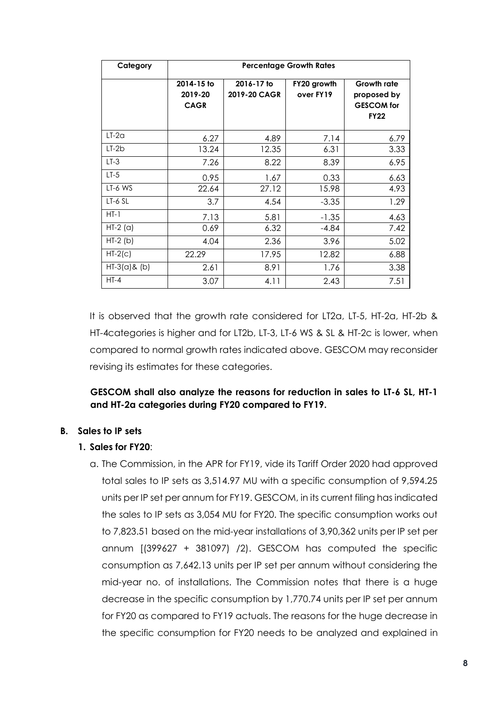| Category        | <b>Percentage Growth Rates</b>       |                            |                          |                                                                       |  |  |
|-----------------|--------------------------------------|----------------------------|--------------------------|-----------------------------------------------------------------------|--|--|
|                 | 2014-15 to<br>2019-20<br><b>CAGR</b> | 2016-17 to<br>2019-20 CAGR | FY20 growth<br>over FY19 | <b>Growth rate</b><br>proposed by<br><b>GESCOM</b> for<br><b>FY22</b> |  |  |
| $LT-2a$         | 6.27                                 | 4.89                       | 7.14                     | 6.79                                                                  |  |  |
| $LT-2b$         | 13.24                                | 12.35                      | 6.31                     | 3.33                                                                  |  |  |
| $LT-3$          | 7.26                                 | 8.22                       | 8.39                     | 6.95                                                                  |  |  |
| $LT-5$          | 0.95                                 | 1.67                       | 0.33                     | 6.63                                                                  |  |  |
| LT-6 WS         | 22.64                                | 27.12                      | 15.98                    | 4.93                                                                  |  |  |
| $LT-6$ SL       | 3.7                                  | 4.54                       | $-3.35$                  | 1.29                                                                  |  |  |
| $HT-1$          | 7.13                                 | 5.81                       | $-1.35$                  | 4.63                                                                  |  |  |
| $HT-2$ (a)      | 0.69                                 | 6.32                       | $-4.84$                  | 7.42                                                                  |  |  |
| $HT-2$ (b)      | 4.04                                 | 2.36                       | 3.96                     | 5.02                                                                  |  |  |
| $HT-2(c)$       | 22.29                                | 17.95                      | 12.82                    | 6.88                                                                  |  |  |
| $HT-3(a)$ & (b) | 2.61                                 | 8.91                       | 1.76                     | 3.38                                                                  |  |  |
| $HT-4$          | 3.07                                 | 4.11                       | 2.43                     | 7.51                                                                  |  |  |

It is observed that the growth rate considered for LT2a, LT-5, HT-2a, HT-2b & HT-4categories is higher and for LT2b, LT-3, LT-6 WS & SL & HT-2c is lower, when compared to normal growth rates indicated above. GESCOM may reconsider revising its estimates for these categories.

**GESCOM shall also analyze the reasons for reduction in sales to LT-6 SL, HT-1 and HT-2a categories during FY20 compared to FY19.**

#### **B. Sales to IP sets**

#### **1. Sales for FY20**:

a. The Commission, in the APR for FY19, vide its Tariff Order 2020 had approved total sales to IP sets as 3,514.97 MU with a specific consumption of 9,594.25 units per IP set per annum for FY19. GESCOM, in its current filing has indicated the sales to IP sets as 3,054 MU for FY20. The specific consumption works out to 7,823.51 based on the mid-year installations of 3,90,362 units per IP set per annum [(399627 + 381097) /2). GESCOM has computed the specific consumption as 7,642.13 units per IP set per annum without considering the mid-year no. of installations. The Commission notes that there is a huge decrease in the specific consumption by 1,770.74 units per IP set per annum for FY20 as compared to FY19 actuals. The reasons for the huge decrease in the specific consumption for FY20 needs to be analyzed and explained in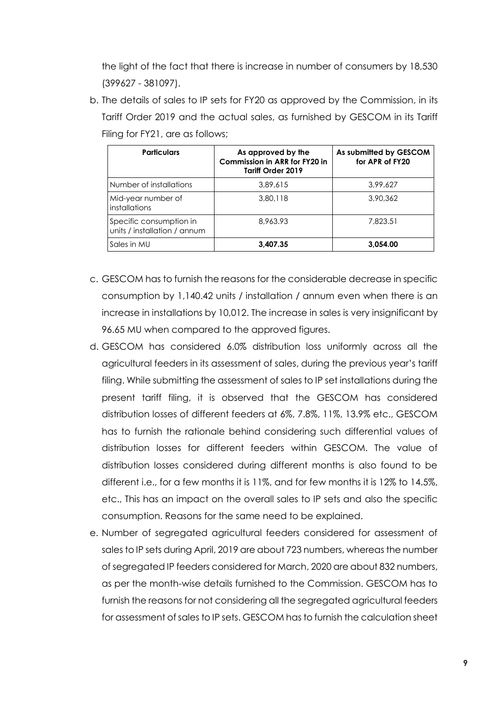the light of the fact that there is increase in number of consumers by 18,530 (399627 - 381097).

b. The details of sales to IP sets for FY20 as approved by the Commission, in its Tariff Order 2019 and the actual sales, as furnished by GESCOM in its Tariff Filing for FY21, are as follows;

| <b>Particulars</b>                                      | As approved by the<br>Commission in ARR for FY20 in<br>Tariff Order 2019 | As submitted by GESCOM<br>for APR of FY20 |
|---------------------------------------------------------|--------------------------------------------------------------------------|-------------------------------------------|
| Number of installations                                 | 3,89,615                                                                 | 3.99.627                                  |
| Mid-year number of<br>installations                     | 3,80,118                                                                 | 3,90,362                                  |
| Specific consumption in<br>units / installation / annum | 8,963,93                                                                 | 7.823.51                                  |
| Sales in MU                                             | 3,407.35                                                                 | 3,054.00                                  |

- c. GESCOM has to furnish the reasons for the considerable decrease in specific consumption by 1,140.42 units / installation / annum even when there is an increase in installations by 10,012. The increase in sales is very insignificant by 96.65 MU when compared to the approved figures.
- d. GESCOM has considered 6.0% distribution loss uniformly across all the agricultural feeders in its assessment of sales, during the previous year's tariff filing. While submitting the assessment of sales to IP set installations during the present tariff filing, it is observed that the GESCOM has considered distribution losses of different feeders at 6%, 7.8%, 11%, 13.9% etc., GESCOM has to furnish the rationale behind considering such differential values of distribution losses for different feeders within GESCOM. The value of distribution losses considered during different months is also found to be different i.e., for a few months it is 11%, and for few months it is 12% to 14.5%, etc., This has an impact on the overall sales to IP sets and also the specific consumption. Reasons for the same need to be explained.
- e. Number of segregated agricultural feeders considered for assessment of sales to IP sets during April, 2019 are about 723 numbers, whereas the number of segregated IP feeders considered for March, 2020 are about 832 numbers, as per the month-wise details furnished to the Commission. GESCOM has to furnish the reasons for not considering all the segregated agricultural feeders for assessment of sales to IP sets. GESCOM has to furnish the calculation sheet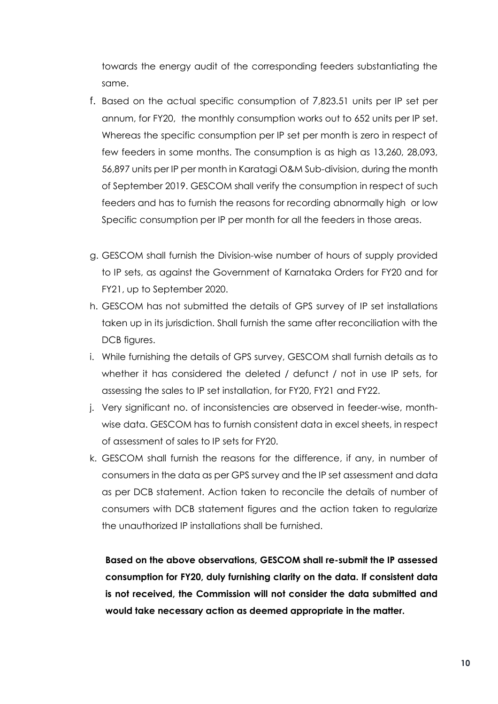towards the energy audit of the corresponding feeders substantiating the same.

- f. Based on the actual specific consumption of 7,823.51 units per IP set per annum, for FY20, the monthly consumption works out to 652 units per IP set. Whereas the specific consumption per IP set per month is zero in respect of few feeders in some months. The consumption is as high as 13,260, 28,093, 56,897 units per IP per month in Karatagi O&M Sub-division, during the month of September 2019. GESCOM shall verify the consumption in respect of such feeders and has to furnish the reasons for recording abnormally high or low Specific consumption per IP per month for all the feeders in those areas.
- g. GESCOM shall furnish the Division-wise number of hours of supply provided to IP sets, as against the Government of Karnataka Orders for FY20 and for FY21, up to September 2020.
- h. GESCOM has not submitted the details of GPS survey of IP set installations taken up in its jurisdiction. Shall furnish the same after reconciliation with the DCB figures.
- i. While furnishing the details of GPS survey, GESCOM shall furnish details as to whether it has considered the deleted / defunct / not in use IP sets, for assessing the sales to IP set installation, for FY20, FY21 and FY22.
- j. Very significant no. of inconsistencies are observed in feeder-wise, monthwise data. GESCOM has to furnish consistent data in excel sheets, in respect of assessment of sales to IP sets for FY20.
- k. GESCOM shall furnish the reasons for the difference, if any, in number of consumers in the data as per GPS survey and the IP set assessment and data as per DCB statement. Action taken to reconcile the details of number of consumers with DCB statement figures and the action taken to regularize the unauthorized IP installations shall be furnished.

**Based on the above observations, GESCOM shall re-submit the IP assessed consumption for FY20, duly furnishing clarity on the data. If consistent data is not received, the Commission will not consider the data submitted and would take necessary action as deemed appropriate in the matter.**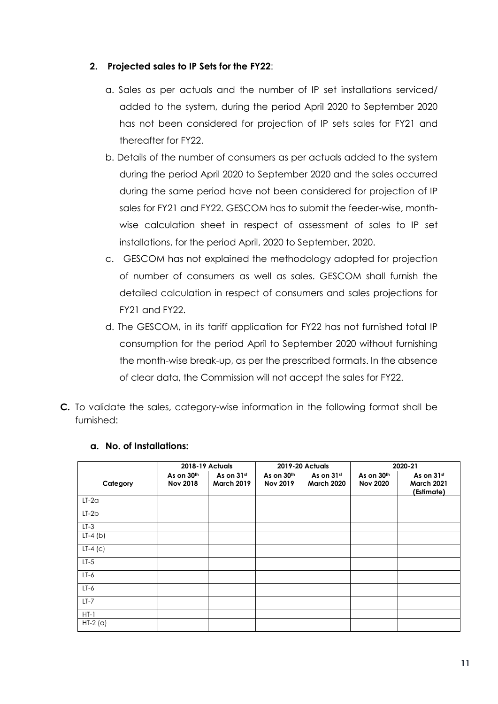### **2. Projected sales to IP Sets for the FY22**:

- a. Sales as per actuals and the number of IP set installations serviced/ added to the system, during the period April 2020 to September 2020 has not been considered for projection of IP sets sales for FY21 and thereafter for FY22.
- b. Details of the number of consumers as per actuals added to the system during the period April 2020 to September 2020 and the sales occurred during the same period have not been considered for projection of IP sales for FY21 and FY22. GESCOM has to submit the feeder-wise, monthwise calculation sheet in respect of assessment of sales to IP set installations, for the period April, 2020 to September, 2020.
- c. GESCOM has not explained the methodology adopted for projection of number of consumers as well as sales. GESCOM shall furnish the detailed calculation in respect of consumers and sales projections for FY21 and FY22.
- d. The GESCOM, in its tariff application for FY22 has not furnished total IP consumption for the period April to September 2020 without furnishing the month-wise break-up, as per the prescribed formats. In the absence of clear data, the Commission will not accept the sales for FY22.
- **C.** To validate the sales, category-wise information in the following format shall be furnished:

|            | 2018-19 Actuals               |                                 |                               | <b>2019-20 Actuals</b>          |                               | 2020-21                                       |
|------------|-------------------------------|---------------------------------|-------------------------------|---------------------------------|-------------------------------|-----------------------------------------------|
| Category   | As on 30th<br><b>Nov 2018</b> | As on 31st<br><b>March 2019</b> | As on 30th<br><b>Nov 2019</b> | As on 31st<br><b>March 2020</b> | As on 30th<br><b>Nov 2020</b> | As on 31st<br><b>March 2021</b><br>(Estimate) |
| $LT-2a$    |                               |                                 |                               |                                 |                               |                                               |
| $LT-2b$    |                               |                                 |                               |                                 |                               |                                               |
| $LT-3$     |                               |                                 |                               |                                 |                               |                                               |
| $LT-4$ (b) |                               |                                 |                               |                                 |                               |                                               |
| $LT-4$ (c) |                               |                                 |                               |                                 |                               |                                               |
| $LT-5$     |                               |                                 |                               |                                 |                               |                                               |
| $LT-6$     |                               |                                 |                               |                                 |                               |                                               |
| $LT-6$     |                               |                                 |                               |                                 |                               |                                               |
| $LT-7$     |                               |                                 |                               |                                 |                               |                                               |
| $HT-1$     |                               |                                 |                               |                                 |                               |                                               |
| $HT-2$ (a) |                               |                                 |                               |                                 |                               |                                               |

#### **a. No. of Installations:**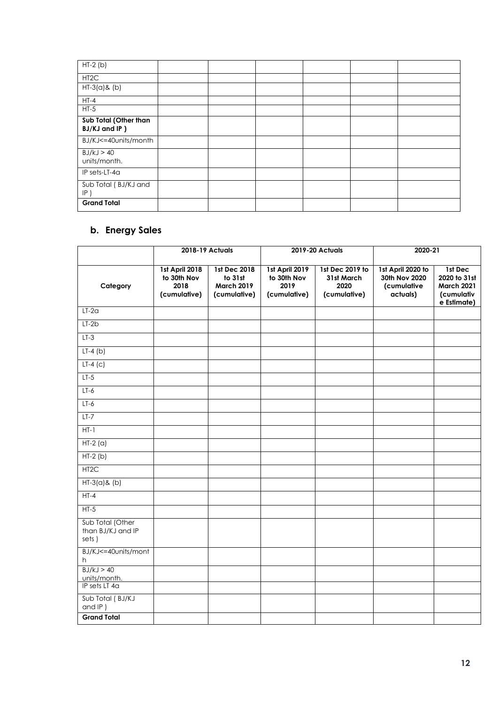| $HT-2(b)$                              |  |  |  |
|----------------------------------------|--|--|--|
| HT <sub>2</sub> C                      |  |  |  |
| $HT-3(a)$ & (b)                        |  |  |  |
| $HT-4$                                 |  |  |  |
| $HT-5$                                 |  |  |  |
| Sub Total (Other than<br>BJ/KJ and IP) |  |  |  |
| BJ/KJ<=40units/month                   |  |  |  |
| BJ/kJ > 40<br>units/month.             |  |  |  |
| IP sets-LT-4a                          |  |  |  |
| Sub Total (BJ/KJ and<br>$IP$ )         |  |  |  |
| <b>Grand Total</b>                     |  |  |  |

# **b. Energy Sales**

|                                                | 2018-19 Actuals                                       |                                                              |                                                       | 2019-20 Actuals                                       |                                                               | 2020-21                                                                   |  |
|------------------------------------------------|-------------------------------------------------------|--------------------------------------------------------------|-------------------------------------------------------|-------------------------------------------------------|---------------------------------------------------------------|---------------------------------------------------------------------------|--|
| Category                                       | 1st April 2018<br>to 30th Nov<br>2018<br>(cumulative) | 1st Dec 2018<br>to 31st<br><b>March 2019</b><br>(cumulative) | 1st April 2019<br>to 30th Nov<br>2019<br>(cumulative) | 1st Dec 2019 to<br>31st March<br>2020<br>(cumulative) | 1st April 2020 to<br>30th Nov 2020<br>(cumulative<br>actuals) | 1st Dec<br>2020 to 31st<br><b>March 2021</b><br>(cumulativ<br>e Estimate) |  |
| $LT-2a$                                        |                                                       |                                                              |                                                       |                                                       |                                                               |                                                                           |  |
| $LT-2b$                                        |                                                       |                                                              |                                                       |                                                       |                                                               |                                                                           |  |
| $LT-3$                                         |                                                       |                                                              |                                                       |                                                       |                                                               |                                                                           |  |
| $LT-4(b)$                                      |                                                       |                                                              |                                                       |                                                       |                                                               |                                                                           |  |
| $LT-4$ (c)                                     |                                                       |                                                              |                                                       |                                                       |                                                               |                                                                           |  |
| $LT-5$                                         |                                                       |                                                              |                                                       |                                                       |                                                               |                                                                           |  |
| $LT-6$                                         |                                                       |                                                              |                                                       |                                                       |                                                               |                                                                           |  |
| $LT-6$                                         |                                                       |                                                              |                                                       |                                                       |                                                               |                                                                           |  |
| $LT-7$                                         |                                                       |                                                              |                                                       |                                                       |                                                               |                                                                           |  |
| $HT-1$                                         |                                                       |                                                              |                                                       |                                                       |                                                               |                                                                           |  |
| $\overline{HT-2}$ (a)                          |                                                       |                                                              |                                                       |                                                       |                                                               |                                                                           |  |
| $HT-2(b)$                                      |                                                       |                                                              |                                                       |                                                       |                                                               |                                                                           |  |
| HT <sub>2</sub> C                              |                                                       |                                                              |                                                       |                                                       |                                                               |                                                                           |  |
| $HT-3(a)$ & (b)                                |                                                       |                                                              |                                                       |                                                       |                                                               |                                                                           |  |
| $HT-4$                                         |                                                       |                                                              |                                                       |                                                       |                                                               |                                                                           |  |
| $HT-5$                                         |                                                       |                                                              |                                                       |                                                       |                                                               |                                                                           |  |
| Sub Total (Other<br>than BJ/KJ and IP<br>sets) |                                                       |                                                              |                                                       |                                                       |                                                               |                                                                           |  |
| BJ/KJ<=40units/mont<br>h                       |                                                       |                                                              |                                                       |                                                       |                                                               |                                                                           |  |
| BJ/kJ > 40<br>units/month.                     |                                                       |                                                              |                                                       |                                                       |                                                               |                                                                           |  |
| IP sets LT 4a                                  |                                                       |                                                              |                                                       |                                                       |                                                               |                                                                           |  |
| Sub Total (BJ/KJ<br>and IP)                    |                                                       |                                                              |                                                       |                                                       |                                                               |                                                                           |  |
| <b>Grand Total</b>                             |                                                       |                                                              |                                                       |                                                       |                                                               |                                                                           |  |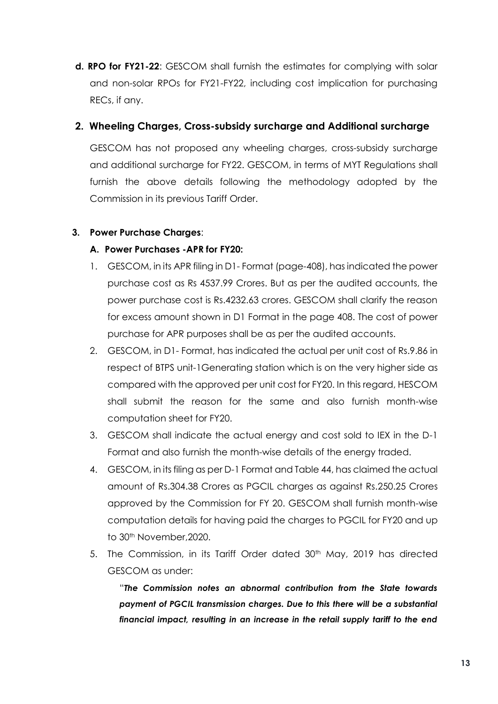**d. RPO for FY21-22**: GESCOM shall furnish the estimates for complying with solar and non-solar RPOs for FY21-FY22, including cost implication for purchasing RECs, if any.

## **2. Wheeling Charges, Cross-subsidy surcharge and Additional surcharge**

GESCOM has not proposed any wheeling charges, cross-subsidy surcharge and additional surcharge for FY22. GESCOM, in terms of MYT Regulations shall furnish the above details following the methodology adopted by the Commission in its previous Tariff Order.

### **3. Power Purchase Charges**:

### **A. Power Purchases -APR for FY20:**

- 1. GESCOM, in its APR filing in D1- Format (page-408), has indicated the power purchase cost as Rs 4537.99 Crores. But as per the audited accounts, the power purchase cost is Rs.4232.63 crores. GESCOM shall clarify the reason for excess amount shown in D1 Format in the page 408. The cost of power purchase for APR purposes shall be as per the audited accounts.
- 2. GESCOM, in D1- Format, has indicated the actual per unit cost of Rs.9.86 in respect of BTPS unit-1Generating station which is on the very higher side as compared with the approved per unit cost for FY20. In this regard, HESCOM shall submit the reason for the same and also furnish month-wise computation sheet for FY20.
- 3. GESCOM shall indicate the actual energy and cost sold to IEX in the D-1 Format and also furnish the month-wise details of the energy traded.
- 4. GESCOM, in its filing as per D-1 Format and Table 44, has claimed the actual amount of Rs.304.38 Crores as PGCIL charges as against Rs.250.25 Crores approved by the Commission for FY 20. GESCOM shall furnish month-wise computation details for having paid the charges to PGCIL for FY20 and up to 30<sup>th</sup> November, 2020.
- 5. The Commission, in its Tariff Order dated 30<sup>th</sup> May, 2019 has directed GESCOM as under:

"*The Commission notes an abnormal contribution from the State towards payment of PGCIL transmission charges. Due to this there will be a substantial financial impact, resulting in an increase in the retail supply tariff to the end*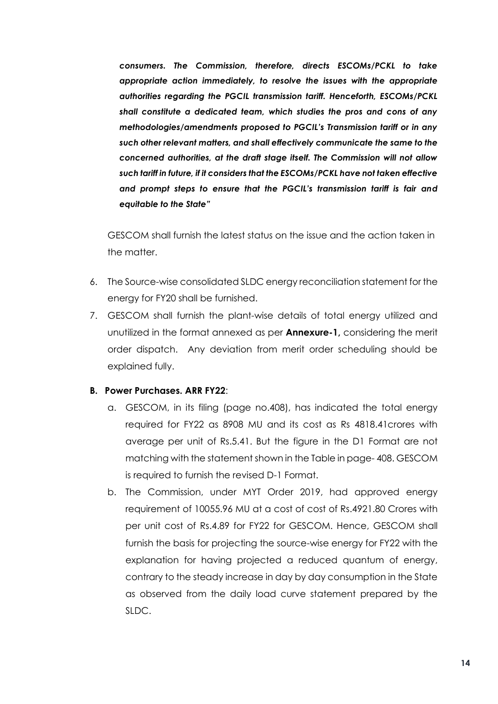*consumers. The Commission, therefore, directs ESCOMs/PCKL to take appropriate action immediately, to resolve the issues with the appropriate authorities regarding the PGCIL transmission tariff. Henceforth, ESCOMs/PCKL shall constitute a dedicated team, which studies the pros and cons of any methodologies/amendments proposed to PGCIL's Transmission tariff or in any such other relevant matters, and shall effectively communicate the same to the concerned authorities, at the draft stage itself. The Commission will not allow such tariff in future, if it considers that the ESCOMs/PCKL have not taken effective and prompt steps to ensure that the PGCIL's transmission tariff is fair and equitable to the State"* 

GESCOM shall furnish the latest status on the issue and the action taken in the matter.

- 6. The Source-wise consolidated SLDC energy reconciliation statement for the energy for FY20 shall be furnished.
- 7. GESCOM shall furnish the plant-wise details of total energy utilized and unutilized in the format annexed as per **Annexure-1,** considering the merit order dispatch. Any deviation from merit order scheduling should be explained fully.

#### **B. Power Purchases. ARR FY22**:

- a. GESCOM, in its filing (page no.408), has indicated the total energy required for FY22 as 8908 MU and its cost as Rs 4818.41crores with average per unit of Rs.5.41. But the figure in the D1 Format are not matching with the statement shown in the Table in page- 408. GESCOM is required to furnish the revised D-1 Format.
- b. The Commission, under MYT Order 2019, had approved energy requirement of 10055.96 MU at a cost of cost of Rs.4921.80 Crores with per unit cost of Rs.4.89 for FY22 for GESCOM. Hence, GESCOM shall furnish the basis for projecting the source-wise energy for FY22 with the explanation for having projected a reduced quantum of energy, contrary to the steady increase in day by day consumption in the State as observed from the daily load curve statement prepared by the SLDC.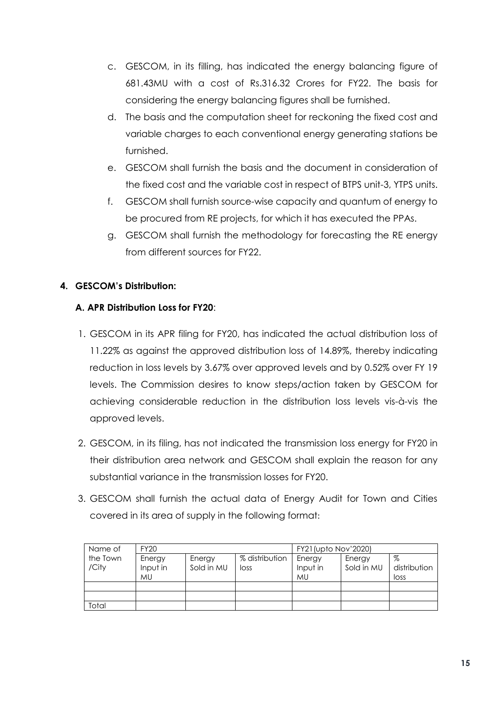- c. GESCOM, in its filling, has indicated the energy balancing figure of 681.43MU with a cost of Rs.316.32 Crores for FY22. The basis for considering the energy balancing figures shall be furnished.
- d. The basis and the computation sheet for reckoning the fixed cost and variable charges to each conventional energy generating stations be furnished.
- e. GESCOM shall furnish the basis and the document in consideration of the fixed cost and the variable cost in respect of BTPS unit-3, YTPS units.
- f. GESCOM shall furnish source-wise capacity and quantum of energy to be procured from RE projects, for which it has executed the PPAs.
- g. GESCOM shall furnish the methodology for forecasting the RE energy from different sources for FY22.

## **4. GESCOM's Distribution:**

## **A. APR Distribution Loss for FY20**:

- 1. GESCOM in its APR filing for FY20, has indicated the actual distribution loss of 11.22% as against the approved distribution loss of 14.89%, thereby indicating reduction in loss levels by 3.67% over approved levels and by 0.52% over FY 19 levels. The Commission desires to know steps/action taken by GESCOM for achieving considerable reduction in the distribution loss levels vis-à-vis the approved levels.
- 2. GESCOM, in its filing, has not indicated the transmission loss energy for FY20 in their distribution area network and GESCOM shall explain the reason for any substantial variance in the transmission losses for FY20.
- 3. GESCOM shall furnish the actual data of Energy Audit for Town and Cities covered in its area of supply in the following format:

| Name of           | FY20                            |                      |                        | <b>FY21</b> (upto Nov'2020)     |                      |                           |
|-------------------|---------------------------------|----------------------|------------------------|---------------------------------|----------------------|---------------------------|
| the Town<br>/City | Energy<br>Input in<br><b>MU</b> | Energy<br>Sold in MU | % distribution<br>loss | Energy<br>Input in<br><b>MU</b> | Energy<br>Sold in MU | %<br>distribution<br>loss |
|                   |                                 |                      |                        |                                 |                      |                           |
|                   |                                 |                      |                        |                                 |                      |                           |
| Total             |                                 |                      |                        |                                 |                      |                           |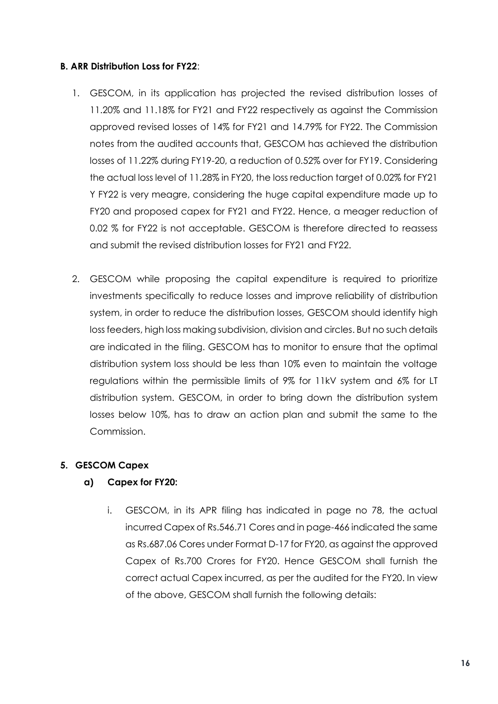#### **B. ARR Distribution Loss for FY22**:

- 1. GESCOM, in its application has projected the revised distribution losses of 11.20% and 11.18% for FY21 and FY22 respectively as against the Commission approved revised losses of 14% for FY21 and 14.79% for FY22. The Commission notes from the audited accounts that, GESCOM has achieved the distribution losses of 11.22% during FY19-20, a reduction of 0.52% over for FY19. Considering the actual loss level of 11.28% in FY20, the loss reduction target of 0.02% for FY21 Y FY22 is very meagre, considering the huge capital expenditure made up to FY20 and proposed capex for FY21 and FY22. Hence, a meager reduction of 0.02 % for FY22 is not acceptable. GESCOM is therefore directed to reassess and submit the revised distribution losses for FY21 and FY22.
- 2. GESCOM while proposing the capital expenditure is required to prioritize investments specifically to reduce losses and improve reliability of distribution system, in order to reduce the distribution losses, GESCOM should identify high loss feeders, high loss making subdivision, division and circles. But no such details are indicated in the filing. GESCOM has to monitor to ensure that the optimal distribution system loss should be less than 10% even to maintain the voltage regulations within the permissible limits of 9% for 11kV system and 6% for LT distribution system. GESCOM, in order to bring down the distribution system losses below 10%, has to draw an action plan and submit the same to the Commission.

## **5. GESCOM Capex**

#### **a) Capex for FY20:**

i. GESCOM, in its APR filing has indicated in page no 78, the actual incurred Capex of Rs.546.71 Cores and in page-466 indicated the same as Rs.687.06 Cores under Format D-17 for FY20, as against the approved Capex of Rs.700 Crores for FY20. Hence GESCOM shall furnish the correct actual Capex incurred, as per the audited for the FY20. In view of the above, GESCOM shall furnish the following details: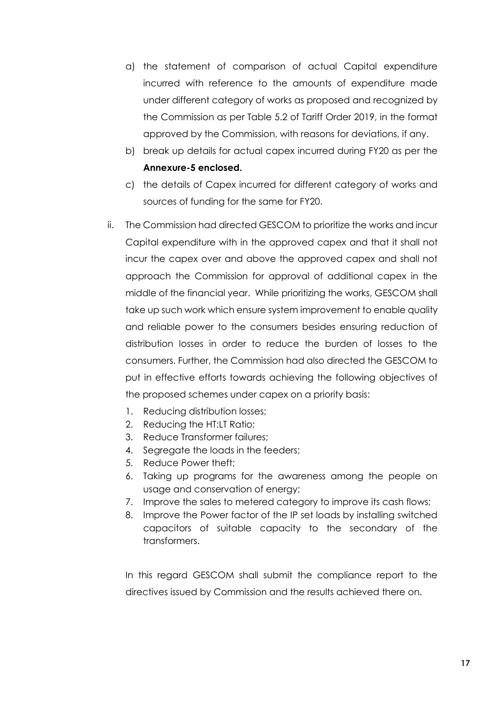- a) the statement of comparison of actual Capital expenditure incurred with reference to the amounts of expenditure made under different category of works as proposed and recognized by the Commission as per Table 5.2 of Tariff Order 2019, in the format approved by the Commission, with reasons for deviations, if any.
- b) break up details for actual capex incurred during FY20 as per the **Annexure-5 enclosed.**
- c) the details of Capex incurred for different category of works and sources of funding for the same for FY20.
- ii. The Commission had directed GESCOM to prioritize the works and incur Capital expenditure with in the approved capex and that it shall not incur the capex over and above the approved capex and shall not approach the Commission for approval of additional capex in the middle of the financial year. While prioritizing the works, GESCOM shall take up such work which ensure system improvement to enable quality and reliable power to the consumers besides ensuring reduction of distribution losses in order to reduce the burden of losses to the consumers. Further, the Commission had also directed the GESCOM to put in effective efforts towards achieving the following objectives of the proposed schemes under capex on a priority basis:
	- 1. Reducing distribution losses;
	- 2. Reducing the HT:LT Ratio;
	- 3. Reduce Transformer failures;
	- 4. Segregate the loads in the feeders;
	- 5. Reduce Power theft;
	- 6. Taking up programs for the awareness among the people on usage and conservation of energy;
	- 7. Improve the sales to metered category to improve its cash flows;
	- 8. Improve the Power factor of the IP set loads by installing switched capacitors of suitable capacity to the secondary of the transformers.

In this regard GESCOM shall submit the compliance report to the directives issued by Commission and the results achieved there on.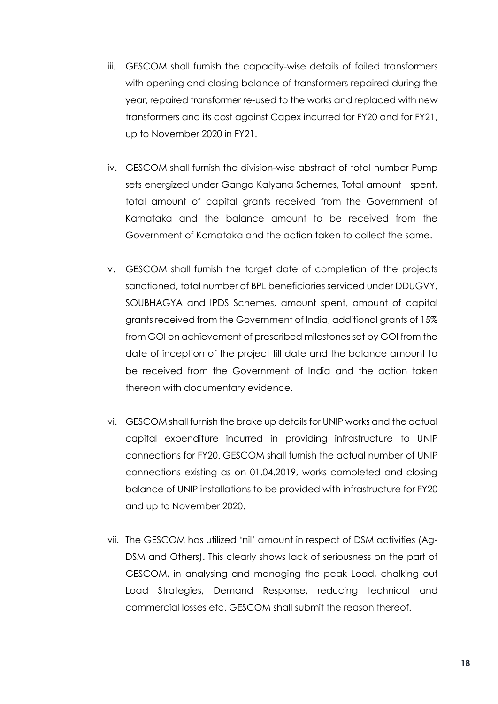- iii. GESCOM shall furnish the capacity-wise details of failed transformers with opening and closing balance of transformers repaired during the year, repaired transformer re-used to the works and replaced with new transformers and its cost against Capex incurred for FY20 and for FY21, up to November 2020 in FY21.
- iv. GESCOM shall furnish the division-wise abstract of total number Pump sets energized under Ganga Kalyana Schemes, Total amount spent, total amount of capital grants received from the Government of Karnataka and the balance amount to be received from the Government of Karnataka and the action taken to collect the same.
- v. GESCOM shall furnish the target date of completion of the projects sanctioned, total number of BPL beneficiaries serviced under DDUGVY, SOUBHAGYA and IPDS Schemes, amount spent, amount of capital grants received from the Government of India, additional grants of 15% from GOI on achievement of prescribed milestones set by GOI from the date of inception of the project till date and the balance amount to be received from the Government of India and the action taken thereon with documentary evidence.
- vi. GESCOM shall furnish the brake up details for UNIP works and the actual capital expenditure incurred in providing infrastructure to UNIP connections for FY20. GESCOM shall furnish the actual number of UNIP connections existing as on 01.04.2019, works completed and closing balance of UNIP installations to be provided with infrastructure for FY20 and up to November 2020.
- vii. The GESCOM has utilized 'nil' amount in respect of DSM activities (Ag-DSM and Others). This clearly shows lack of seriousness on the part of GESCOM, in analysing and managing the peak Load, chalking out Load Strategies, Demand Response, reducing technical and commercial losses etc. GESCOM shall submit the reason thereof.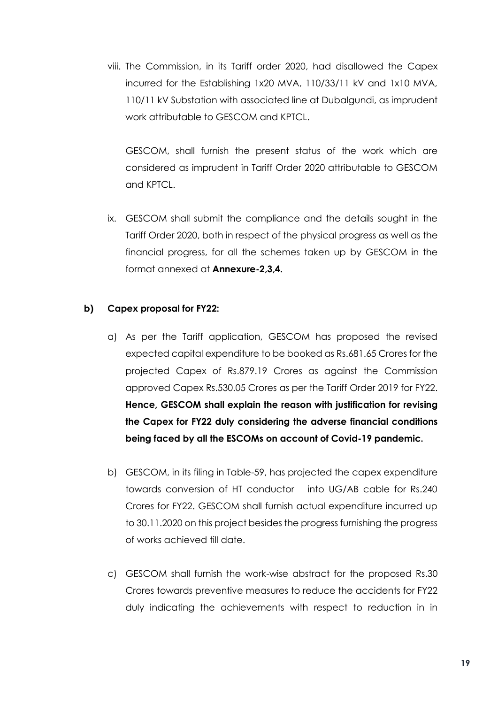viii. The Commission, in its Tariff order 2020, had disallowed the Capex incurred for the Establishing 1x20 MVA, 110/33/11 kV and 1x10 MVA, 110/11 kV Substation with associated line at Dubalgundi, as imprudent work attributable to GESCOM and KPTCL.

GESCOM, shall furnish the present status of the work which are considered as imprudent in Tariff Order 2020 attributable to GESCOM and KPTCL.

ix. GESCOM shall submit the compliance and the details sought in the Tariff Order 2020, both in respect of the physical progress as well as the financial progress, for all the schemes taken up by GESCOM in the format annexed at **Annexure-2,3,4.**

#### **b) Capex proposal for FY22:**

- a) As per the Tariff application, GESCOM has proposed the revised expected capital expenditure to be booked as Rs.681.65 Crores for the projected Capex of Rs.879.19 Crores as against the Commission approved Capex Rs.530.05 Crores as per the Tariff Order 2019 for FY22. **Hence, GESCOM shall explain the reason with justification for revising the Capex for FY22 duly considering the adverse financial conditions being faced by all the ESCOMs on account of Covid-19 pandemic.**
- b) GESCOM, in its filing in Table-59, has projected the capex expenditure towards conversion of HT conductor into UG/AB cable for Rs.240 Crores for FY22. GESCOM shall furnish actual expenditure incurred up to 30.11.2020 on this project besides the progress furnishing the progress of works achieved till date.
- c) GESCOM shall furnish the work-wise abstract for the proposed Rs.30 Crores towards preventive measures to reduce the accidents for FY22 duly indicating the achievements with respect to reduction in in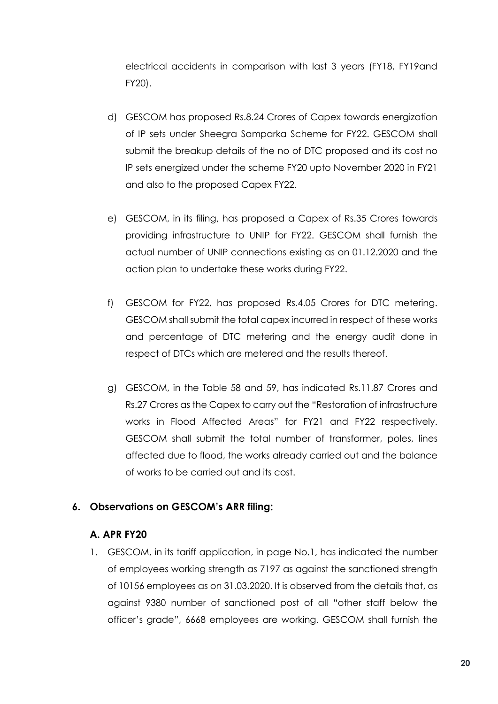electrical accidents in comparison with last 3 years (FY18, FY19and FY20).

- d) GESCOM has proposed Rs.8.24 Crores of Capex towards energization of IP sets under Sheegra Samparka Scheme for FY22. GESCOM shall submit the breakup details of the no of DTC proposed and its cost no IP sets energized under the scheme FY20 upto November 2020 in FY21 and also to the proposed Capex FY22.
- e) GESCOM, in its filing, has proposed a Capex of Rs.35 Crores towards providing infrastructure to UNIP for FY22. GESCOM shall furnish the actual number of UNIP connections existing as on 01.12.2020 and the action plan to undertake these works during FY22.
- f) GESCOM for FY22, has proposed Rs.4.05 Crores for DTC metering. GESCOM shall submit the total capex incurred in respect of these works and percentage of DTC metering and the energy audit done in respect of DTCs which are metered and the results thereof.
- g) GESCOM, in the Table 58 and 59, has indicated Rs.11.87 Crores and Rs.27 Crores as the Capex to carry out the "Restoration of infrastructure works in Flood Affected Areas" for FY21 and FY22 respectively. GESCOM shall submit the total number of transformer, poles, lines affected due to flood, the works already carried out and the balance of works to be carried out and its cost.

# **6. Observations on GESCOM's ARR filing:**

## **A. APR FY20**

1. GESCOM, in its tariff application, in page No.1, has indicated the number of employees working strength as 7197 as against the sanctioned strength of 10156 employees as on 31.03.2020. It is observed from the details that, as against 9380 number of sanctioned post of all "other staff below the officer's grade", 6668 employees are working. GESCOM shall furnish the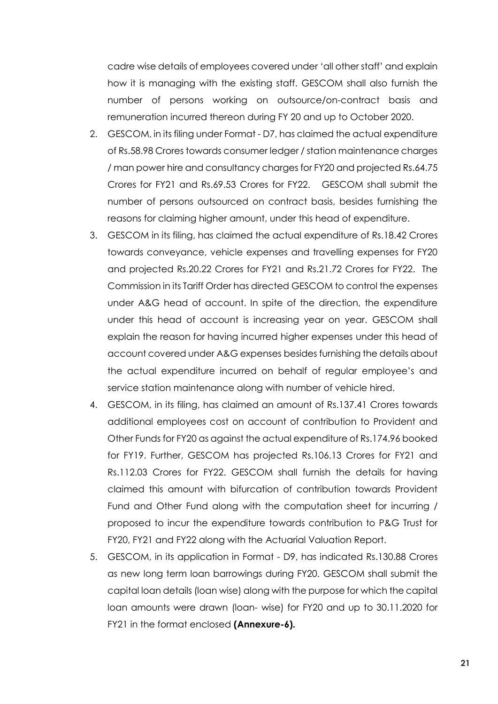cadre wise details of employees covered under 'all other staff' and explain how it is managing with the existing staff. GESCOM shall also furnish the number of persons working on outsource/on-contract basis and remuneration incurred thereon during FY 20 and up to October 2020.

- 2. GESCOM, in its filing under Format D7, has claimed the actual expenditure of Rs.58.98 Crores towards consumer ledger / station maintenance charges / man power hire and consultancy charges for FY20 and projected Rs.64.75 Crores for FY21 and Rs.69.53 Crores for FY22. GESCOM shall submit the number of persons outsourced on contract basis, besides furnishing the reasons for claiming higher amount, under this head of expenditure.
- 3. GESCOM in its filing, has claimed the actual expenditure of Rs.18.42 Crores towards conveyance, vehicle expenses and travelling expenses for FY20 and projected Rs.20.22 Crores for FY21 and Rs.21.72 Crores for FY22. The Commission in its Tariff Order has directed GESCOM to control the expenses under A&G head of account. In spite of the direction, the expenditure under this head of account is increasing year on year. GESCOM shall explain the reason for having incurred higher expenses under this head of account covered under A&G expenses besides furnishing the details about the actual expenditure incurred on behalf of regular employee's and service station maintenance along with number of vehicle hired.
- 4. GESCOM, in its filing, has claimed an amount of Rs.137.41 Crores towards additional employees cost on account of contribution to Provident and Other Funds for FY20 as against the actual expenditure of Rs.174.96 booked for FY19. Further, GESCOM has projected Rs.106.13 Crores for FY21 and Rs.112.03 Crores for FY22. GESCOM shall furnish the details for having claimed this amount with bifurcation of contribution towards Provident Fund and Other Fund along with the computation sheet for incurring / proposed to incur the expenditure towards contribution to P&G Trust for FY20, FY21 and FY22 along with the Actuarial Valuation Report.
- 5. GESCOM, in its application in Format D9, has indicated Rs.130.88 Crores as new long term loan barrowings during FY20. GESCOM shall submit the capital loan details (loan wise) along with the purpose for which the capital loan amounts were drawn (loan- wise) for FY20 and up to 30.11.2020 for FY21 in the format enclosed **(Annexure-6).**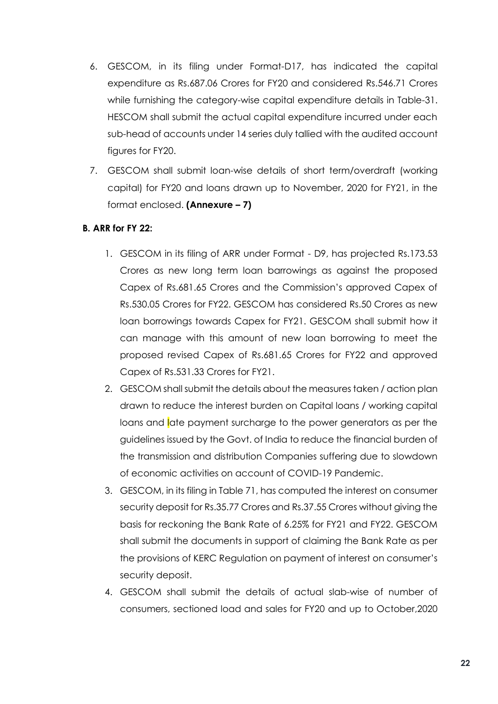- 6. GESCOM, in its filing under Format-D17, has indicated the capital expenditure as Rs.687.06 Crores for FY20 and considered Rs.546.71 Crores while furnishing the category-wise capital expenditure details in Table-31. HESCOM shall submit the actual capital expenditure incurred under each sub-head of accounts under 14 series duly tallied with the audited account figures for FY20.
- 7. GESCOM shall submit loan-wise details of short term/overdraft (working capital) for FY20 and loans drawn up to November, 2020 for FY21, in the format enclosed. **(Annexure – 7)**

### **B. ARR for FY 22:**

- 1. GESCOM in its filing of ARR under Format D9, has projected Rs.173.53 Crores as new long term loan barrowings as against the proposed Capex of Rs.681.65 Crores and the Commission's approved Capex of Rs.530.05 Crores for FY22. GESCOM has considered Rs.50 Crores as new loan borrowings towards Capex for FY21. GESCOM shall submit how it can manage with this amount of new loan borrowing to meet the proposed revised Capex of Rs.681.65 Crores for FY22 and approved Capex of Rs.531.33 Crores for FY21.
- 2. GESCOM shall submit the details about the measures taken / action plan drawn to reduce the interest burden on Capital loans / working capital loans and late payment surcharge to the power generators as per the guidelines issued by the Govt. of India to reduce the financial burden of the transmission and distribution Companies suffering due to slowdown of economic activities on account of COVID-19 Pandemic.
- 3. GESCOM, in its filing in Table 71, has computed the interest on consumer security deposit for Rs.35.77 Crores and Rs.37.55 Crores without giving the basis for reckoning the Bank Rate of 6.25% for FY21 and FY22. GESCOM shall submit the documents in support of claiming the Bank Rate as per the provisions of KERC Regulation on payment of interest on consumer's security deposit.
- 4. GESCOM shall submit the details of actual slab-wise of number of consumers, sectioned load and sales for FY20 and up to October,2020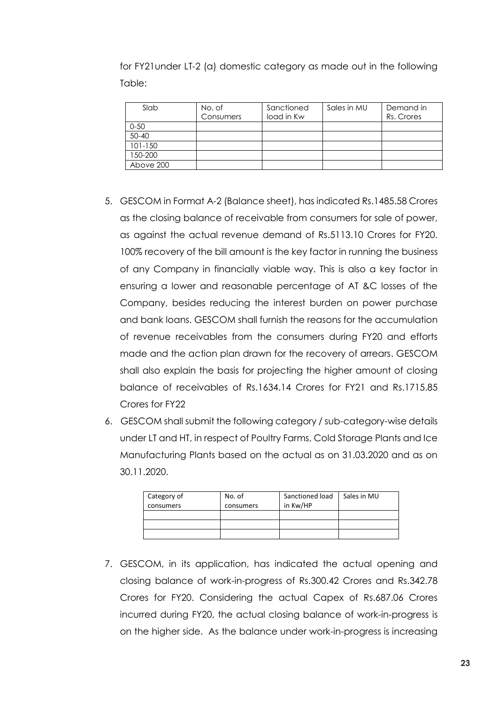for FY21under LT-2 (a) domestic category as made out in the following Table:

| Slab        | No. of<br>Consumers | Sanctioned<br>load in Kw | Sales in MU | Demand in<br>Rs. Crores |
|-------------|---------------------|--------------------------|-------------|-------------------------|
| $0 - 50$    |                     |                          |             |                         |
| $50 - 40$   |                     |                          |             |                         |
| $101 - 150$ |                     |                          |             |                         |
| 150-200     |                     |                          |             |                         |
| Above 200   |                     |                          |             |                         |

- 5. GESCOM in Format A-2 (Balance sheet), has indicated Rs.1485.58 Crores as the closing balance of receivable from consumers for sale of power, as against the actual revenue demand of Rs.5113.10 Crores for FY20. 100% recovery of the bill amount is the key factor in running the business of any Company in financially viable way. This is also a key factor in ensuring a lower and reasonable percentage of AT &C losses of the Company, besides reducing the interest burden on power purchase and bank loans. GESCOM shall furnish the reasons for the accumulation of revenue receivables from the consumers during FY20 and efforts made and the action plan drawn for the recovery of arrears. GESCOM shall also explain the basis for projecting the higher amount of closing balance of receivables of Rs.1634.14 Crores for FY21 and Rs.1715.85 Crores for FY22
- 6. GESCOM shall submit the following category / sub-category-wise details under LT and HT, in respect of Poultry Farms, Cold Storage Plants and Ice Manufacturing Plants based on the actual as on 31.03.2020 and as on 30.11.2020.

| Category of<br>consumers | No. of<br>consumers | Sanctioned load<br>in Kw/HP | Sales in MU |
|--------------------------|---------------------|-----------------------------|-------------|
|                          |                     |                             |             |
|                          |                     |                             |             |
|                          |                     |                             |             |

7. GESCOM, in its application, has indicated the actual opening and closing balance of work-in-progress of Rs.300.42 Crores and Rs.342.78 Crores for FY20. Considering the actual Capex of Rs.687.06 Crores incurred during FY20, the actual closing balance of work-in-progress is on the higher side. As the balance under work-in-progress is increasing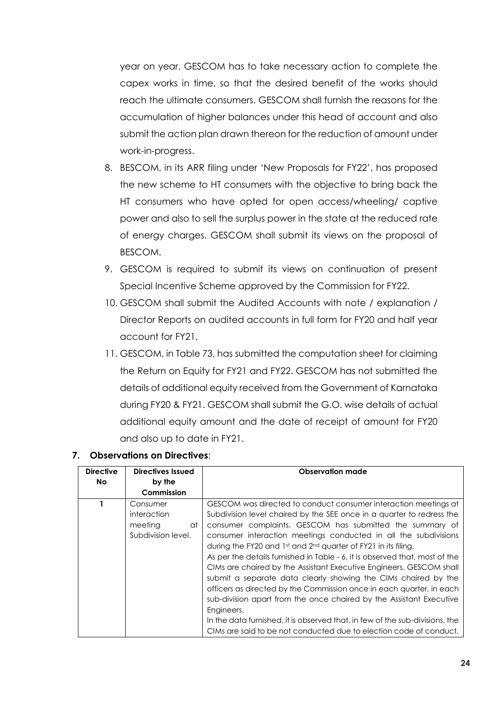year on year, GESCOM has to take necessary action to complete the capex works in time, so that the desired benefit of the works should reach the ultimate consumers. GESCOM shall furnish the reasons for the accumulation of higher balances under this head of account and also submit the action plan drawn thereon for the reduction of amount under work-in-progress.

- 8. BESCOM, in its ARR filing under 'New Proposals for FY22', has proposed the new scheme to HT consumers with the objective to bring back the HT consumers who have opted for open access/wheeling/ captive power and also to sell the surplus power in the state at the reduced rate of energy charges. GESCOM shall submit its views on the proposal of BESCOM.
- 9. GESCOM is required to submit its views on continuation of present Special Incentive Scheme approved by the Commission for FY22.
- 10. GESCOM shall submit the Audited Accounts with note / explanation / Director Reports on audited accounts in full form for FY20 and half year account for FY21.
- 11. GESCOM, in Table 73, has submitted the computation sheet for claiming the Return on Equity for FY21 and FY22. GESCOM has not submitted the details of additional equity received from the Government of Karnataka during FY20 & FY21. GESCOM shall submit the G.O. wise details of actual additional equity amount and the date of receipt of amount for FY20 and also up to date in FY21.

| <b>Directive</b> | <b>Directives Issued</b>                                       | <b>Observation made</b>                                                                                                                                                                                                                                                                                                                                                                                                                                                                                                                                                                                                                                                                                                                                                                                                                                                              |
|------------------|----------------------------------------------------------------|--------------------------------------------------------------------------------------------------------------------------------------------------------------------------------------------------------------------------------------------------------------------------------------------------------------------------------------------------------------------------------------------------------------------------------------------------------------------------------------------------------------------------------------------------------------------------------------------------------------------------------------------------------------------------------------------------------------------------------------------------------------------------------------------------------------------------------------------------------------------------------------|
| No.              | by the                                                         |                                                                                                                                                                                                                                                                                                                                                                                                                                                                                                                                                                                                                                                                                                                                                                                                                                                                                      |
|                  | Commission                                                     |                                                                                                                                                                                                                                                                                                                                                                                                                                                                                                                                                                                                                                                                                                                                                                                                                                                                                      |
|                  | Consumer<br>interaction<br>meeting<br>at<br>Subdivision level. | GESCOM was directed to conduct consumer interaction meetings at<br>Subdivision level chaired by the SEE once in a quarter to redress the<br>consumer complaints. GESCOM has submitted the summary of<br>consumer interaction meetings conducted in all the subdivisions<br>during the FY20 and 1st and 2nd quarter of FY21 in its filing.<br>As per the details furnished in Table - 6, it is observed that, most of the<br>CIMs are chaired by the Assistant Executive Engineers. GESCOM shall<br>submit a separate data clearly showing the CIMs chaired by the<br>officers as directed by the Commission once in each quarter, in each<br>sub-division apart from the once chaired by the Assistant Executive<br>Engineers.<br>In the data furnished, it is observed that, in few of the sub-divisions, the<br>CIMs are said to be not conducted due to election code of conduct. |

#### **7. Observations on Directives**: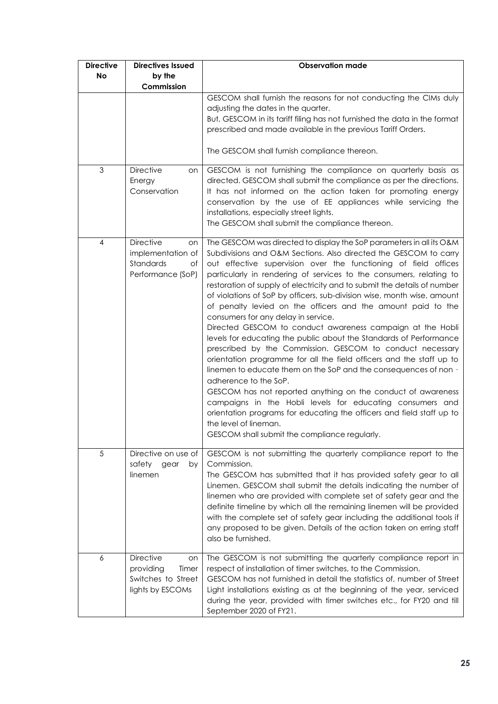| <b>Directive</b> | <b>Directives Issued</b>                                                               | <b>Observation made</b>                                                                                                                                                                                                                                                                                                                                                                                                                                                                                                                                                                                                                                                                                                                                                                                                                                                                                                                                                                                                                                                                                                                                                                                |
|------------------|----------------------------------------------------------------------------------------|--------------------------------------------------------------------------------------------------------------------------------------------------------------------------------------------------------------------------------------------------------------------------------------------------------------------------------------------------------------------------------------------------------------------------------------------------------------------------------------------------------------------------------------------------------------------------------------------------------------------------------------------------------------------------------------------------------------------------------------------------------------------------------------------------------------------------------------------------------------------------------------------------------------------------------------------------------------------------------------------------------------------------------------------------------------------------------------------------------------------------------------------------------------------------------------------------------|
| No               | by the<br>Commission                                                                   |                                                                                                                                                                                                                                                                                                                                                                                                                                                                                                                                                                                                                                                                                                                                                                                                                                                                                                                                                                                                                                                                                                                                                                                                        |
|                  |                                                                                        | GESCOM shall furnish the reasons for not conducting the CIMs duly<br>adjusting the dates in the quarter.<br>But, GESCOM in its tariff filing has not furnished the data in the format<br>prescribed and made available in the previous Tariff Orders.<br>The GESCOM shall furnish compliance thereon.                                                                                                                                                                                                                                                                                                                                                                                                                                                                                                                                                                                                                                                                                                                                                                                                                                                                                                  |
| 3                | <b>Directive</b><br>on<br>Energy<br>Conservation                                       | GESCOM is not furnishing the compliance on quarterly basis as<br>directed. GESCOM shall submit the compliance as per the directions.<br>It has not informed on the action taken for promoting energy<br>conservation by the use of EE appliances while servicing the<br>installations, especially street lights.<br>The GESCOM shall submit the compliance thereon.                                                                                                                                                                                                                                                                                                                                                                                                                                                                                                                                                                                                                                                                                                                                                                                                                                    |
| 4                | <b>Directive</b><br>on<br>implementation of<br>Standards<br>of<br>Performance (SoP)    | The GESCOM was directed to display the SoP parameters in all its O&M<br>Subdivisions and O&M Sections. Also directed the GESCOM to carry<br>out effective supervision over the functioning of field offices<br>particularly in rendering of services to the consumers, relating to<br>restoration of supply of electricity and to submit the details of number<br>of violations of SoP by officers, sub-division wise, month wise, amount<br>of penalty levied on the officers and the amount paid to the<br>consumers for any delay in service.<br>Directed GESCOM to conduct awareness campaign at the Hobli<br>levels for educating the public about the Standards of Performance<br>prescribed by the Commission. GESCOM to conduct necessary<br>orientation programme for all the field officers and the staff up to<br>linemen to educate them on the SoP and the consequences of non -<br>adherence to the SoP.<br>GESCOM has not reported anything on the conduct of awareness<br>campaigns in the Hobli levels for educating consumers and<br>orientation programs for educating the officers and field staff up to<br>the level of lineman.<br>GESCOM shall submit the compliance regularly. |
| 5                | Directive on use of<br>safety<br>gear<br>by<br>linemen                                 | GESCOM is not submitting the quarterly compliance report to the<br>Commission.<br>The GESCOM has submitted that it has provided safety gear to all<br>Linemen. GESCOM shall submit the details indicating the number of<br>linemen who are provided with complete set of safety gear and the<br>definite timeline by which all the remaining linemen will be provided<br>with the complete set of safety gear including the additional tools if<br>any proposed to be given. Details of the action taken on erring staff<br>also be furnished.                                                                                                                                                                                                                                                                                                                                                                                                                                                                                                                                                                                                                                                         |
| 6                | <b>Directive</b><br>on<br>providing<br>Timer<br>Switches to Street<br>lights by ESCOMs | The GESCOM is not submitting the quarterly compliance report in<br>respect of installation of timer switches, to the Commission.<br>GESCOM has not furnished in detail the statistics of, number of Street<br>Light installations existing as at the beginning of the year, serviced<br>during the year, provided with timer switches etc., for FY20 and till<br>September 2020 of FY21.                                                                                                                                                                                                                                                                                                                                                                                                                                                                                                                                                                                                                                                                                                                                                                                                               |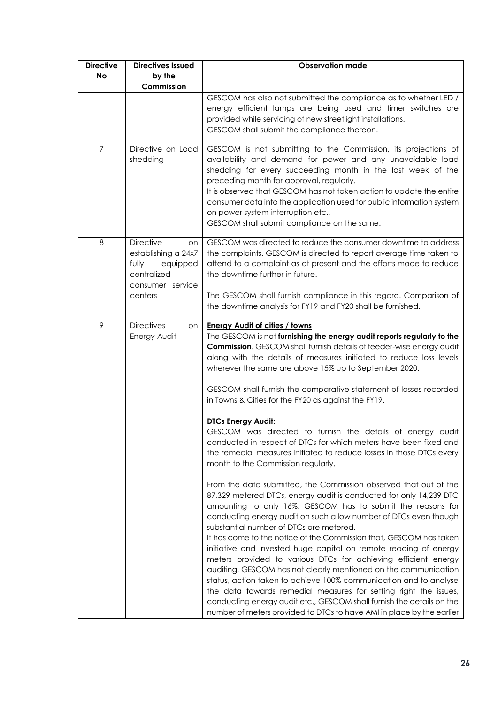| <b>Directive</b><br><b>No</b> | <b>Directives Issued</b><br>by the                                                                               | <b>Observation made</b>                                                                                                                                                                                                                                                                                                                                                                                                                                                                                                                                                                                                                                                                                                                                                                                                                                                                                                                                                                                                                                                                                                                                                                                                                                                                                                                                                                                                                                                                                                                                                                                                                   |
|-------------------------------|------------------------------------------------------------------------------------------------------------------|-------------------------------------------------------------------------------------------------------------------------------------------------------------------------------------------------------------------------------------------------------------------------------------------------------------------------------------------------------------------------------------------------------------------------------------------------------------------------------------------------------------------------------------------------------------------------------------------------------------------------------------------------------------------------------------------------------------------------------------------------------------------------------------------------------------------------------------------------------------------------------------------------------------------------------------------------------------------------------------------------------------------------------------------------------------------------------------------------------------------------------------------------------------------------------------------------------------------------------------------------------------------------------------------------------------------------------------------------------------------------------------------------------------------------------------------------------------------------------------------------------------------------------------------------------------------------------------------------------------------------------------------|
|                               | Commission                                                                                                       |                                                                                                                                                                                                                                                                                                                                                                                                                                                                                                                                                                                                                                                                                                                                                                                                                                                                                                                                                                                                                                                                                                                                                                                                                                                                                                                                                                                                                                                                                                                                                                                                                                           |
|                               |                                                                                                                  | GESCOM has also not submitted the compliance as to whether LED /<br>energy efficient lamps are being used and timer switches are<br>provided while servicing of new streetlight installations.<br>GESCOM shall submit the compliance thereon.                                                                                                                                                                                                                                                                                                                                                                                                                                                                                                                                                                                                                                                                                                                                                                                                                                                                                                                                                                                                                                                                                                                                                                                                                                                                                                                                                                                             |
| 7                             | Directive on Load<br>shedding                                                                                    | GESCOM is not submitting to the Commission, its projections of<br>availability and demand for power and any unavoidable load<br>shedding for every succeeding month in the last week of the<br>preceding month for approval, regularly.<br>It is observed that GESCOM has not taken action to update the entire<br>consumer data into the application used for public information system<br>on power system interruption etc.,<br>GESCOM shall submit compliance on the same.                                                                                                                                                                                                                                                                                                                                                                                                                                                                                                                                                                                                                                                                                                                                                                                                                                                                                                                                                                                                                                                                                                                                                             |
| $\,8\,$                       | <b>Directive</b><br>on<br>establishing a 24x7<br>fully<br>equipped<br>centralized<br>consumer service<br>centers | GESCOM was directed to reduce the consumer downtime to address<br>the complaints. GESCOM is directed to report average time taken to<br>attend to a complaint as at present and the efforts made to reduce<br>the downtime further in future.<br>The GESCOM shall furnish compliance in this regard. Comparison of<br>the downtime analysis for FY19 and FY20 shall be furnished.                                                                                                                                                                                                                                                                                                                                                                                                                                                                                                                                                                                                                                                                                                                                                                                                                                                                                                                                                                                                                                                                                                                                                                                                                                                         |
| 9                             | <b>Directives</b><br>on<br>Energy Audit                                                                          | <b>Energy Audit of cities / towns</b><br>The GESCOM is not furnishing the energy audit reports regularly to the<br><b>Commission.</b> GESCOM shall furnish details of feeder-wise energy audit<br>along with the details of measures initiated to reduce loss levels<br>wherever the same are above 15% up to September 2020.<br>GESCOM shall furnish the comparative statement of losses recorded<br>in Towns & Cities for the FY20 as against the FY19.<br><b>DTCs Energy Audit:</b><br>GESCOM was directed to furnish the details of energy audit<br>conducted in respect of DTCs for which meters have been fixed and<br>the remedial measures initiated to reduce losses in those DTCs every<br>month to the Commission regularly.<br>From the data submitted, the Commission observed that out of the<br>87,329 metered DTCs, energy audit is conducted for only 14,239 DTC<br>amounting to only 16%. GESCOM has to submit the reasons for<br>conducting energy audit on such a low number of DTCs even though<br>substantial number of DTCs are metered.<br>It has come to the notice of the Commission that, GESCOM has taken<br>initiative and invested huge capital on remote reading of energy<br>meters provided to various DTCs for achieving efficient energy<br>auditing. GESCOM has not clearly mentioned on the communication<br>status, action taken to achieve 100% communication and to analyse<br>the data towards remedial measures for setting right the issues,<br>conducting energy audit etc., GESCOM shall furnish the details on the<br>number of meters provided to DTCs to have AMI in place by the earlier |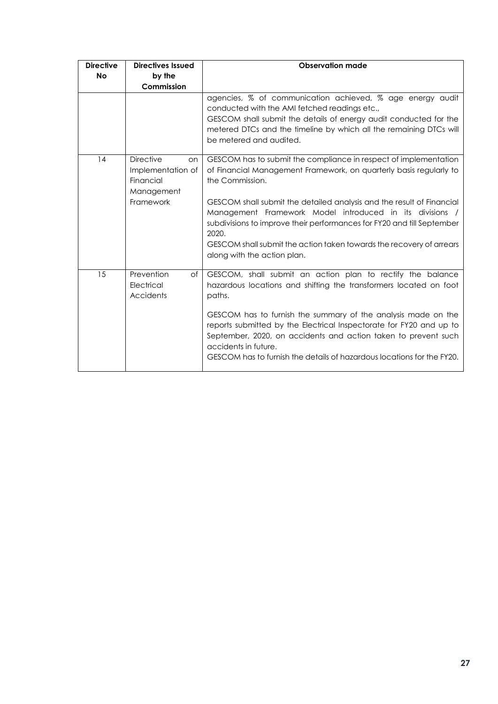| <b>Directive</b> | <b>Directives Issued</b>                                                            | <b>Observation made</b>                                                                                                                                                                                                                                                                                                                                                           |
|------------------|-------------------------------------------------------------------------------------|-----------------------------------------------------------------------------------------------------------------------------------------------------------------------------------------------------------------------------------------------------------------------------------------------------------------------------------------------------------------------------------|
| <b>No</b>        | by the                                                                              |                                                                                                                                                                                                                                                                                                                                                                                   |
|                  | Commission                                                                          |                                                                                                                                                                                                                                                                                                                                                                                   |
|                  |                                                                                     | agencies, % of communication achieved, % age energy audit<br>conducted with the AMI fetched readings etc.,<br>GESCOM shall submit the details of energy audit conducted for the<br>metered DTCs and the timeline by which all the remaining DTCs will<br>be metered and audited.                                                                                                  |
| 14               | <b>Directive</b><br>on<br>Implementation of<br>Financial<br>Management<br>Framework | GESCOM has to submit the compliance in respect of implementation<br>of Financial Management Framework, on quarterly basis regularly to<br>the Commission.<br>GESCOM shall submit the detailed analysis and the result of Financial<br>Management Framework Model introduced in its divisions /<br>subdivisions to improve their performances for FY20 and till September<br>2020. |
|                  |                                                                                     | GESCOM shall submit the action taken towards the recovery of arrears<br>along with the action plan.                                                                                                                                                                                                                                                                               |
| 15               | Prevention<br>of<br>Electrical<br>Accidents                                         | GESCOM, shall submit an action plan to rectify the balance<br>hazardous locations and shifting the transformers located on foot<br>paths.                                                                                                                                                                                                                                         |
|                  |                                                                                     | GESCOM has to furnish the summary of the analysis made on the<br>reports submitted by the Electrical Inspectorate for FY20 and up to<br>September, 2020, on accidents and action taken to prevent such<br>accidents in future.<br>GESCOM has to furnish the details of hazardous locations for the FY20.                                                                          |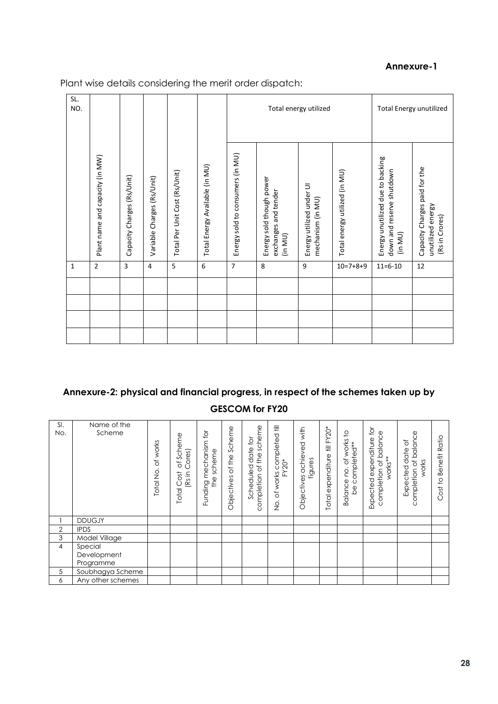#### **Annexure-1**

SL. NO. Total energy utilized Total Energy unutilized Energy sold to consumers (in MU) Energy sold to consumers (in MU) Plant name and capacity (in MW) Energy unutilized due to backing Plant name and capacity (in MW) Energy unutilized due to backing Total Energy Available (in MU) Total Energy Available (in MU) Capacity Charges paid for the Capacity Charges paid for the down and reserve shutdown<br>(in MU) Total energy utilized (in MU) Total Per Unit Cost (Rs/Unit) down and reserve shutdown Total Per Unit Cost (Rs/Unit) Total energy utilized (in MU) Variable Charges (Rs/Unit) Capacity Charges (Rs/Unit) Energy sold though power Energy sold though power Capacity Charges (Rs/Unit) Variable Charges (Rs/Unit) Energy utilized under UI<br>mechanism (in MU) Energy utilized under UI exchanges and tender exchanges and tender mechanism (in MU) unutilized energy<br>(Rs in Crores) unutilized energy (Rs in Crores) (in MU) 1 |2 |3 |4 |5 |6 |7 |8 |9 |10=7+8+9 |11=6-10 |12

Plant wise details considering the merit order dispatch:

#### **Annexure-2: physical and financial progress, in respect of the schemes taken up by**

#### **GESCOM for FY20**

| SI.<br>No. | Name of the<br>Scheme | of works<br>Total No. | of Scheme<br>Cores)<br>(Rs in<br>Cost<br>Total | Funding mechanism for<br>scheme<br>the | Scheme<br>Objectives of the | scheme<br>$\tilde{\varphi}$<br>date<br>completion of the<br>Scheduled | completed till<br>$FY20*$<br>of works<br>$\frac{\dot{\mathrm{o}}}{\mathrm{Z}}$ | with<br>achieved<br>figures<br>Objectives | Total expenditure till FY20* | of works to<br>be completed**<br>Balance no. | $\overleftarrow{\mathsf{C}}$<br>balance<br>expenditure<br>works**<br>$\rm \breve{o}$<br>completion<br>Expected | of balance<br>$\rm 5$<br>Expected date<br>works<br>completion | Ratio<br>Benefit<br>$\overline{c}$<br><b>b</b><br>Ö |
|------------|-----------------------|-----------------------|------------------------------------------------|----------------------------------------|-----------------------------|-----------------------------------------------------------------------|--------------------------------------------------------------------------------|-------------------------------------------|------------------------------|----------------------------------------------|----------------------------------------------------------------------------------------------------------------|---------------------------------------------------------------|-----------------------------------------------------|
|            | <b>DDUGJY</b>         |                       |                                                |                                        |                             |                                                                       |                                                                                |                                           |                              |                                              |                                                                                                                |                                                               |                                                     |
| 2          | <b>IPDS</b>           |                       |                                                |                                        |                             |                                                                       |                                                                                |                                           |                              |                                              |                                                                                                                |                                                               |                                                     |
| 3          | Model Village         |                       |                                                |                                        |                             |                                                                       |                                                                                |                                           |                              |                                              |                                                                                                                |                                                               |                                                     |
| 4          | Special               |                       |                                                |                                        |                             |                                                                       |                                                                                |                                           |                              |                                              |                                                                                                                |                                                               |                                                     |
|            | Development           |                       |                                                |                                        |                             |                                                                       |                                                                                |                                           |                              |                                              |                                                                                                                |                                                               |                                                     |
|            | Programme             |                       |                                                |                                        |                             |                                                                       |                                                                                |                                           |                              |                                              |                                                                                                                |                                                               |                                                     |
| 5          | Soubhagya Scheme      |                       |                                                |                                        |                             |                                                                       |                                                                                |                                           |                              |                                              |                                                                                                                |                                                               |                                                     |
| 6          | Any other schemes     |                       |                                                |                                        |                             |                                                                       |                                                                                |                                           |                              |                                              |                                                                                                                |                                                               |                                                     |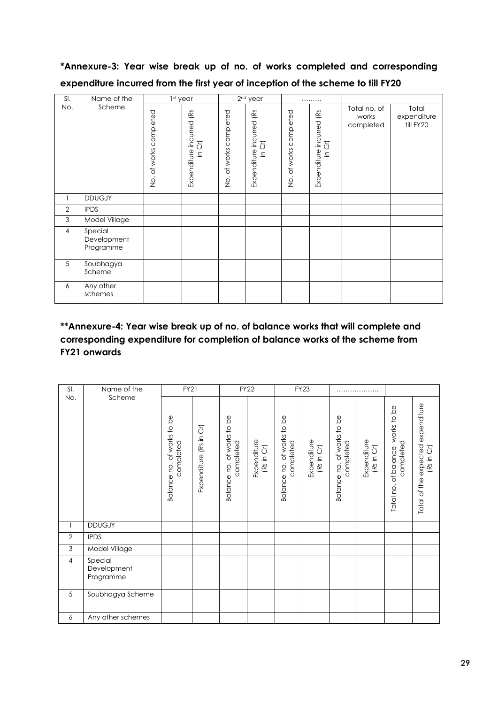# **\*Annexure-3: Year wise break up of no. of works completed and corresponding expenditure incurred from the first year of inception of the scheme to till FY20**

| SI.            | Name of the                         | 1st year                               |                                                |                                                             | 2 <sup>nd</sup> year              | .                                                              |                                                                                                                                                   |                                    |                                   |
|----------------|-------------------------------------|----------------------------------------|------------------------------------------------|-------------------------------------------------------------|-----------------------------------|----------------------------------------------------------------|---------------------------------------------------------------------------------------------------------------------------------------------------|------------------------------------|-----------------------------------|
| No.            | Scheme                              | completed<br>of works<br>$\frac{1}{2}$ | Expenditure incurred (Rs<br>5<br>$\mathbf{a}.$ | of works completed<br>$\frac{\dot{\mathrm{o}}}{\mathrm{Z}}$ | Expenditure incurred (Rs<br>in Cr | completed<br>of works<br>$\frac{\dot{\mathrm{o}}}{\mathrm{Z}}$ | $(\mathsf{R}\mathsf{S}% _{\mathsf{M}}^{\mathsf{M}}(\mathsf{R}\mathsf{S})\mathsf{S})\subset\mathsf{R}$<br>Expenditure incurred<br>5<br>$\bar{=}$ . | Total no. of<br>works<br>completed | Total<br>expenditure<br>till FY20 |
|                | <b>DDUGJY</b>                       |                                        |                                                |                                                             |                                   |                                                                |                                                                                                                                                   |                                    |                                   |
| $\mathbf{2}$   | <b>IPDS</b>                         |                                        |                                                |                                                             |                                   |                                                                |                                                                                                                                                   |                                    |                                   |
| $\mathfrak{Z}$ | Model Village                       |                                        |                                                |                                                             |                                   |                                                                |                                                                                                                                                   |                                    |                                   |
| $\overline{4}$ | Special<br>Development<br>Programme |                                        |                                                |                                                             |                                   |                                                                |                                                                                                                                                   |                                    |                                   |
| 5              | Soubhagya<br>Scheme                 |                                        |                                                |                                                             |                                   |                                                                |                                                                                                                                                   |                                    |                                   |
| 6              | Any other<br>schemes                |                                        |                                                |                                                             |                                   |                                                                |                                                                                                                                                   |                                    |                                   |

# **\*\*Annexure-4: Year wise break up of no. of balance works that will complete and corresponding expenditure for completion of balance works of the scheme from FY21 onwards**

| SI.            | Name of the                         | <b>FY21</b>                             |                        |                                         | <b>FY22</b>               |                                         | <b>FY23</b>               |                                                            |                           |                                                  |                                                    |
|----------------|-------------------------------------|-----------------------------------------|------------------------|-----------------------------------------|---------------------------|-----------------------------------------|---------------------------|------------------------------------------------------------|---------------------------|--------------------------------------------------|----------------------------------------------------|
| No.            | Scheme                              | Balance no. of works to be<br>completed | Expenditure (Rs in Cr) | Balance no. of works to be<br>completed | Expenditure<br>(Rs in Cr) | Balance no. of works to be<br>completed | Expenditure<br>(Rs in Cr) | $\frac{1}{\alpha}$<br>Balance no. of works to<br>completed | Expenditure<br>(Rs in Cr) | works to be<br>completed<br>Total no. of balance | expenditure<br>Total of the expected<br>(Rs in Cr) |
| 1              | <b>DDUGJY</b>                       |                                         |                        |                                         |                           |                                         |                           |                                                            |                           |                                                  |                                                    |
| $\mathbf{2}$   | <b>IPDS</b>                         |                                         |                        |                                         |                           |                                         |                           |                                                            |                           |                                                  |                                                    |
| 3              | Model Village                       |                                         |                        |                                         |                           |                                         |                           |                                                            |                           |                                                  |                                                    |
| $\overline{4}$ | Special<br>Development<br>Programme |                                         |                        |                                         |                           |                                         |                           |                                                            |                           |                                                  |                                                    |
| 5              | Soubhagya Scheme                    |                                         |                        |                                         |                           |                                         |                           |                                                            |                           |                                                  |                                                    |
| 6              | Any other schemes                   |                                         |                        |                                         |                           |                                         |                           |                                                            |                           |                                                  |                                                    |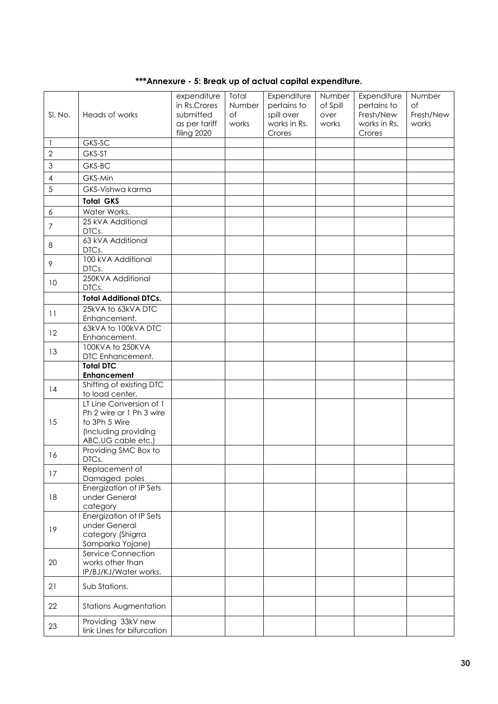| SI. No.                  | Heads of works                                                                                                      | expenditure<br>in Rs.Crores<br>submitted<br>as per tariff<br>filing 2020 | Total<br>Number<br>of<br>works | Expenditure<br>pertains to<br>spill over<br>works in Rs.<br>Crores | Number<br>of Spill<br>over<br>works | Expenditure<br>pertains to<br>Fresh/New<br>works in Rs.<br>Crores | Number<br><b>of</b><br>Fresh/New<br>works |
|--------------------------|---------------------------------------------------------------------------------------------------------------------|--------------------------------------------------------------------------|--------------------------------|--------------------------------------------------------------------|-------------------------------------|-------------------------------------------------------------------|-------------------------------------------|
| 1                        | GKS-SC                                                                                                              |                                                                          |                                |                                                                    |                                     |                                                                   |                                           |
| $\overline{2}$           | GKS-ST                                                                                                              |                                                                          |                                |                                                                    |                                     |                                                                   |                                           |
|                          |                                                                                                                     |                                                                          |                                |                                                                    |                                     |                                                                   |                                           |
| $\mathfrak{S}$           | GKS-BC                                                                                                              |                                                                          |                                |                                                                    |                                     |                                                                   |                                           |
| $\overline{\mathcal{A}}$ | GKS-Min                                                                                                             |                                                                          |                                |                                                                    |                                     |                                                                   |                                           |
| 5                        | GKS-Vishwa karma                                                                                                    |                                                                          |                                |                                                                    |                                     |                                                                   |                                           |
|                          | <b>Total GKS</b>                                                                                                    |                                                                          |                                |                                                                    |                                     |                                                                   |                                           |
| $\boldsymbol{6}$         | Water Works.                                                                                                        |                                                                          |                                |                                                                    |                                     |                                                                   |                                           |
| $\boldsymbol{7}$         | 25 kVA Additional<br>DTCs.                                                                                          |                                                                          |                                |                                                                    |                                     |                                                                   |                                           |
| 8                        | 63 kVA Additional<br>DTCs.                                                                                          |                                                                          |                                |                                                                    |                                     |                                                                   |                                           |
| 9                        | 100 kVA Additional<br>DTCs.                                                                                         |                                                                          |                                |                                                                    |                                     |                                                                   |                                           |
| 10                       | 250KVA Additional<br>DTCs.                                                                                          |                                                                          |                                |                                                                    |                                     |                                                                   |                                           |
|                          | <b>Total Additional DTCs.</b>                                                                                       |                                                                          |                                |                                                                    |                                     |                                                                   |                                           |
|                          | 25kVA to 63kVA DTC                                                                                                  |                                                                          |                                |                                                                    |                                     |                                                                   |                                           |
| 11                       | Enhancement.                                                                                                        |                                                                          |                                |                                                                    |                                     |                                                                   |                                           |
| 12                       | 63kVA to 100kVA DTC<br>Enhancement.                                                                                 |                                                                          |                                |                                                                    |                                     |                                                                   |                                           |
| 13                       | 100KVA to 250KVA<br>DTC Enhancement.                                                                                |                                                                          |                                |                                                                    |                                     |                                                                   |                                           |
|                          | <b>Total DTC</b><br><b>Enhancement</b>                                                                              |                                                                          |                                |                                                                    |                                     |                                                                   |                                           |
| 14                       | Shifting of existing DTC<br>to load center.                                                                         |                                                                          |                                |                                                                    |                                     |                                                                   |                                           |
| 15                       | LT Line Conversion of 1<br>Ph 2 wire or 1 Ph 3 wire<br>to 3Ph 5 Wire<br>(Including providing<br>ABC, UG cable etc.) |                                                                          |                                |                                                                    |                                     |                                                                   |                                           |
| 16                       | Providing SMC Box to<br>DTCs.                                                                                       |                                                                          |                                |                                                                    |                                     |                                                                   |                                           |
| 17                       | Replacement of<br>Damaged poles                                                                                     |                                                                          |                                |                                                                    |                                     |                                                                   |                                           |
| 18                       | Energization of IP Sets<br>under General<br>category                                                                |                                                                          |                                |                                                                    |                                     |                                                                   |                                           |
| 19                       | <b>Energization of IP Sets</b><br>under General<br>category (Shigrra<br>Samparka Yojane)                            |                                                                          |                                |                                                                    |                                     |                                                                   |                                           |
| 20                       | <b>Service Connection</b><br>works other than<br>IP/BJ/KJ/Water works.                                              |                                                                          |                                |                                                                    |                                     |                                                                   |                                           |
| 21                       | Sub Stations.                                                                                                       |                                                                          |                                |                                                                    |                                     |                                                                   |                                           |
| 22                       | <b>Stations Augmentation</b>                                                                                        |                                                                          |                                |                                                                    |                                     |                                                                   |                                           |
| 23                       | Providing 33kV new<br>link Lines for bifurcation                                                                    |                                                                          |                                |                                                                    |                                     |                                                                   |                                           |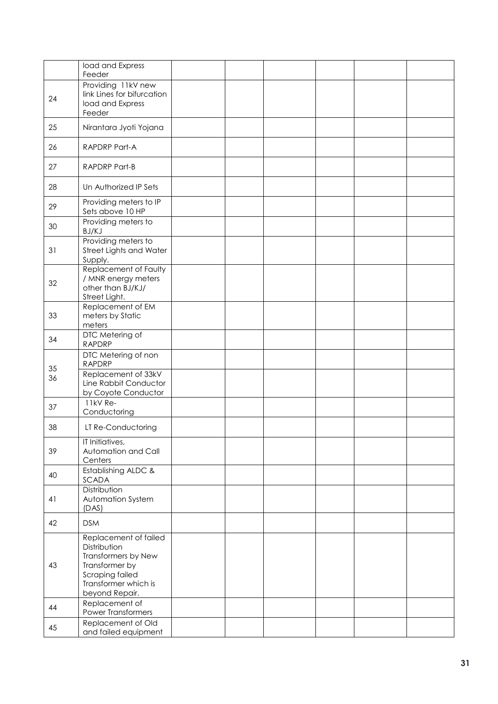|    | load and Express<br>Feeder                                                                                                                  |  |  |  |
|----|---------------------------------------------------------------------------------------------------------------------------------------------|--|--|--|
| 24 | Providing 11kV new<br>link Lines for bifurcation<br>load and Express<br>Feeder                                                              |  |  |  |
| 25 | Nirantara Jyoti Yojana                                                                                                                      |  |  |  |
| 26 | RAPDRP Part-A                                                                                                                               |  |  |  |
| 27 | RAPDRP Part-B                                                                                                                               |  |  |  |
| 28 | Un Authorized IP Sets                                                                                                                       |  |  |  |
| 29 | Providing meters to IP<br>Sets above 10 HP                                                                                                  |  |  |  |
| 30 | Providing meters to<br>BJ/KJ                                                                                                                |  |  |  |
| 31 | Providing meters to<br>Street Lights and Water<br>Supply.                                                                                   |  |  |  |
| 32 | Replacement of Faulty<br>/ MNR energy meters<br>other than BJ/KJ/<br>Street Light.                                                          |  |  |  |
| 33 | Replacement of EM<br>meters by Static<br>meters                                                                                             |  |  |  |
| 34 | DTC Metering of<br><b>RAPDRP</b>                                                                                                            |  |  |  |
| 35 | DTC Metering of non<br><b>RAPDRP</b>                                                                                                        |  |  |  |
| 36 | Replacement of 33kV<br>Line Rabbit Conductor<br>by Coyote Conductor                                                                         |  |  |  |
| 37 | 11kV Re-<br>Conductoring                                                                                                                    |  |  |  |
| 38 | LT Re-Conductoring                                                                                                                          |  |  |  |
| 39 | IT Initiatives,<br>Automation and Call<br>Centers                                                                                           |  |  |  |
| 40 | Establishing ALDC &<br>SCADA                                                                                                                |  |  |  |
| 41 | Distribution<br>Automation System<br>(DAS)                                                                                                  |  |  |  |
| 42 | <b>DSM</b>                                                                                                                                  |  |  |  |
| 43 | Replacement of failed<br>Distribution<br>Transformers by New<br>Transformer by<br>Scraping failed<br>Transformer which is<br>beyond Repair. |  |  |  |
| 44 | Replacement of<br><b>Power Transformers</b>                                                                                                 |  |  |  |
| 45 | Replacement of Old<br>and failed equipment                                                                                                  |  |  |  |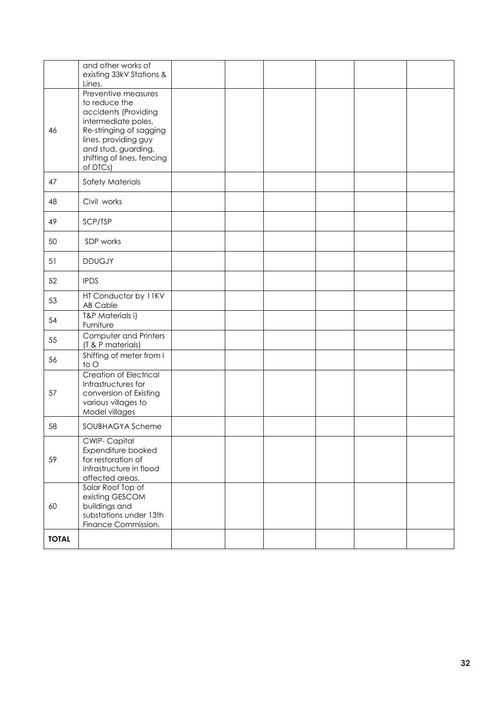|              | and other works of<br>existing 33kV Stations &<br>Lines.                                                                                                                                                |  |  |  |
|--------------|---------------------------------------------------------------------------------------------------------------------------------------------------------------------------------------------------------|--|--|--|
| 46           | Preventive measures<br>to reduce the<br>accidents (Providing<br>intermediate poles,<br>Re-stringing of sagging<br>lines, providing guy<br>and stud, guarding,<br>shifting of lines, fencing<br>of DTCs) |  |  |  |
| 47           | <b>Safety Materials</b>                                                                                                                                                                                 |  |  |  |
| 48           | Civil works                                                                                                                                                                                             |  |  |  |
| 49           | SCP/TSP                                                                                                                                                                                                 |  |  |  |
| 50           | SDP works                                                                                                                                                                                               |  |  |  |
| 51           | <b>DDUGJY</b>                                                                                                                                                                                           |  |  |  |
| 52           | <b>IPDS</b>                                                                                                                                                                                             |  |  |  |
| 53           | HT Conductor by 11KV<br><b>AB Cable</b>                                                                                                                                                                 |  |  |  |
| 54           | T&P Materials i)<br>Furniture                                                                                                                                                                           |  |  |  |
| 55           | Computer and Printers<br>(T & P materials)                                                                                                                                                              |  |  |  |
| 56           | Shifting of meter from I<br>to O                                                                                                                                                                        |  |  |  |
| 57           | <b>Creation of Electrical</b><br>Infrastructures for<br>conversion of Existing<br>various villages to<br>Model villages                                                                                 |  |  |  |
| 58           | SOUBHAGYA Scheme                                                                                                                                                                                        |  |  |  |
| 59           | CWIP-Capital<br>Expenditure booked<br>for restoration of<br>infrastructure in flood<br>affected areas.                                                                                                  |  |  |  |
| 60           | Solar Roof Top of<br>existing GESCOM<br>buildings and<br>substations under 13th<br>Finance Commission.                                                                                                  |  |  |  |
| <b>TOTAL</b> |                                                                                                                                                                                                         |  |  |  |